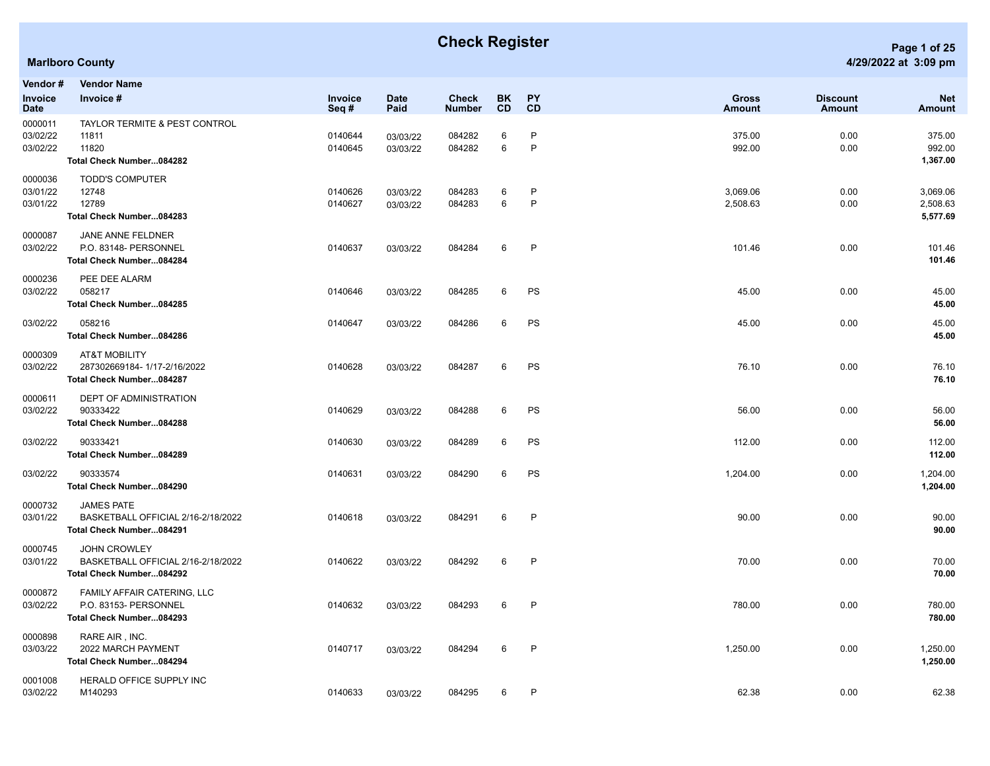## **Check Register Page 1 of 25**

## **Marlboro County 4/29/2022 at 3:09 pm**

|                    |  | Page 1 of 25 |
|--------------------|--|--------------|
| !9/2022 at 3:09 pm |  |              |

| Vendor #                        | <b>Vendor Name</b>                                                                    |                    |                      |                        |                  |                 |                               |                           |                                  |
|---------------------------------|---------------------------------------------------------------------------------------|--------------------|----------------------|------------------------|------------------|-----------------|-------------------------------|---------------------------|----------------------------------|
| <b>Invoice</b><br><b>Date</b>   | Invoice #                                                                             | Invoice<br>Seq#    | <b>Date</b><br>Paid  | Check<br><b>Number</b> | BK.<br><b>CD</b> | <b>PY</b><br>CD | <b>Gross</b><br><b>Amount</b> | <b>Discount</b><br>Amount | <b>Net</b><br>Amount             |
| 0000011<br>03/02/22<br>03/02/22 | TAYLOR TERMITE & PEST CONTROL<br>11811<br>11820<br>Total Check Number084282           | 0140644<br>0140645 | 03/03/22<br>03/03/22 | 084282<br>084282       | 6<br>6           | P<br>P          | 375.00<br>992.00              | 0.00<br>0.00              | 375.00<br>992.00<br>1,367.00     |
| 0000036<br>03/01/22<br>03/01/22 | <b>TODD'S COMPUTER</b><br>12748<br>12789<br>Total Check Number084283                  | 0140626<br>0140627 | 03/03/22<br>03/03/22 | 084283<br>084283       | 6<br>6           | P<br>P          | 3,069.06<br>2,508.63          | 0.00<br>0.00              | 3,069.06<br>2,508.63<br>5,577.69 |
| 0000087<br>03/02/22             | JANE ANNE FELDNER<br>P.O. 83148- PERSONNEL<br>Total Check Number084284                | 0140637            | 03/03/22             | 084284                 | 6                | $\mathsf{P}$    | 101.46                        | 0.00                      | 101.46<br>101.46                 |
| 0000236<br>03/02/22             | PEE DEE ALARM<br>058217<br>Total Check Number084285                                   | 0140646            | 03/03/22             | 084285                 | 6                | PS              | 45.00                         | 0.00                      | 45.00<br>45.00                   |
| 03/02/22                        | 058216<br>Total Check Number084286                                                    | 0140647            | 03/03/22             | 084286                 | 6                | PS              | 45.00                         | 0.00                      | 45.00<br>45.00                   |
| 0000309<br>03/02/22             | <b>AT&amp;T MOBILITY</b><br>287302669184-1/17-2/16/2022<br>Total Check Number084287   | 0140628            | 03/03/22             | 084287                 | 6                | PS              | 76.10                         | 0.00                      | 76.10<br>76.10                   |
| 0000611<br>03/02/22             | <b>DEPT OF ADMINISTRATION</b><br>90333422<br>Total Check Number084288                 | 0140629            | 03/03/22             | 084288                 | 6                | PS              | 56.00                         | 0.00                      | 56.00<br>56.00                   |
| 03/02/22                        | 90333421<br>Total Check Number084289                                                  | 0140630            | 03/03/22             | 084289                 | 6                | PS              | 112.00                        | 0.00                      | 112.00<br>112.00                 |
| 03/02/22                        | 90333574<br>Total Check Number084290                                                  | 0140631            | 03/03/22             | 084290                 | 6                | PS              | 1,204.00                      | 0.00                      | 1,204.00<br>1,204.00             |
| 0000732<br>03/01/22             | <b>JAMES PATE</b><br>BASKETBALL OFFICIAL 2/16-2/18/2022<br>Total Check Number084291   | 0140618            | 03/03/22             | 084291                 | 6                | $\mathsf{P}$    | 90.00                         | 0.00                      | 90.00<br>90.00                   |
| 0000745<br>03/01/22             | <b>JOHN CROWLEY</b><br>BASKETBALL OFFICIAL 2/16-2/18/2022<br>Total Check Number084292 | 0140622            | 03/03/22             | 084292                 | 6                | P               | 70.00                         | 0.00                      | 70.00<br>70.00                   |
| 0000872<br>03/02/22             | FAMILY AFFAIR CATERING, LLC<br>P.O. 83153- PERSONNEL<br>Total Check Number084293      | 0140632            | 03/03/22             | 084293                 | 6                | $\mathsf{P}$    | 780.00                        | 0.00                      | 780.00<br>780.00                 |
| 0000898<br>03/03/22             | RARE AIR, INC.<br>2022 MARCH PAYMENT<br>Total Check Number084294                      | 0140717            | 03/03/22             | 084294                 | 6                | P               | 1,250.00                      | 0.00                      | 1,250.00<br>1,250.00             |
| 0001008<br>03/02/22             | HERALD OFFICE SUPPLY INC<br>M140293                                                   | 0140633            | 03/03/22             | 084295                 | 6                | P               | 62.38                         | 0.00                      | 62.38                            |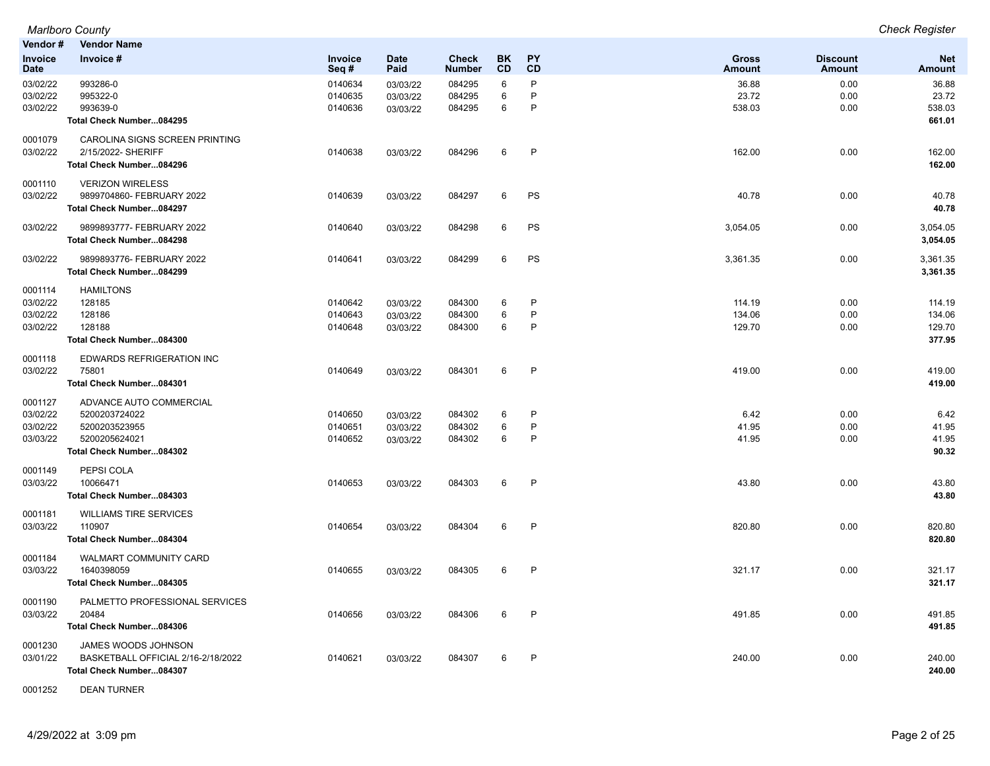|                 | <b>Marlboro County</b>             |                 |                     |                               |                        |                        |                               |                                  | <b>Check Register</b>       |
|-----------------|------------------------------------|-----------------|---------------------|-------------------------------|------------------------|------------------------|-------------------------------|----------------------------------|-----------------------------|
| Vendor #        | <b>Vendor Name</b>                 |                 |                     |                               |                        |                        |                               |                                  |                             |
| Invoice<br>Date | Invoice #                          | Invoice<br>Seq# | <b>Date</b><br>Paid | <b>Check</b><br><b>Number</b> | <b>BK</b><br><b>CD</b> | <b>PY</b><br><b>CD</b> | <b>Gross</b><br><b>Amount</b> | <b>Discount</b><br><b>Amount</b> | <b>Net</b><br><b>Amount</b> |
| 03/02/22        | 993286-0                           | 0140634         | 03/03/22            | 084295                        | 6                      | P                      | 36.88                         | 0.00                             | 36.88                       |
| 03/02/22        | 995322-0                           | 0140635         | 03/03/22            | 084295                        | 6                      | P                      | 23.72                         | 0.00                             | 23.72                       |
| 03/02/22        | 993639-0                           | 0140636         | 03/03/22            | 084295                        | 6                      | P                      | 538.03                        | 0.00                             | 538.03                      |
|                 | Total Check Number084295           |                 |                     |                               |                        |                        |                               |                                  | 661.01                      |
| 0001079         | CAROLINA SIGNS SCREEN PRINTING     |                 |                     |                               |                        |                        |                               |                                  |                             |
| 03/02/22        | 2/15/2022- SHERIFF                 | 0140638         | 03/03/22            | 084296                        | 6                      | $\mathsf{P}$           | 162.00                        | 0.00                             | 162.00                      |
|                 | Total Check Number084296           |                 |                     |                               |                        |                        |                               |                                  | 162.00                      |
| 0001110         | <b>VERIZON WIRELESS</b>            |                 |                     |                               |                        |                        |                               |                                  |                             |
| 03/02/22        | 9899704860- FEBRUARY 2022          | 0140639         | 03/03/22            | 084297                        | 6                      | PS                     | 40.78                         | 0.00                             | 40.78                       |
|                 | Total Check Number084297           |                 |                     |                               |                        |                        |                               |                                  | 40.78                       |
| 03/02/22        | 9899893777- FEBRUARY 2022          | 0140640         | 03/03/22            | 084298                        | 6                      | PS                     | 3,054.05                      | 0.00                             | 3,054.05                    |
|                 | Total Check Number084298           |                 |                     |                               |                        |                        |                               |                                  | 3,054.05                    |
| 03/02/22        | 9899893776- FEBRUARY 2022          | 0140641         | 03/03/22            | 084299                        | 6                      | PS                     | 3,361.35                      | 0.00                             | 3,361.35                    |
|                 | Total Check Number084299           |                 |                     |                               |                        |                        |                               |                                  | 3,361.35                    |
| 0001114         | <b>HAMILTONS</b>                   |                 |                     |                               |                        |                        |                               |                                  |                             |
| 03/02/22        | 128185                             | 0140642         | 03/03/22            | 084300                        | 6                      | P                      | 114.19                        | 0.00                             | 114.19                      |
| 03/02/22        | 128186                             | 0140643         | 03/03/22            | 084300                        | 6                      | P                      | 134.06                        | 0.00                             | 134.06                      |
| 03/02/22        | 128188                             | 0140648         | 03/03/22            | 084300                        | 6                      | P                      | 129.70                        | 0.00                             | 129.70                      |
|                 | Total Check Number084300           |                 |                     |                               |                        |                        |                               |                                  | 377.95                      |
| 0001118         | EDWARDS REFRIGERATION INC          |                 |                     |                               |                        |                        |                               |                                  |                             |
| 03/02/22        | 75801                              | 0140649         | 03/03/22            | 084301                        | 6                      | $\mathsf{P}$           | 419.00                        | 0.00                             | 419.00                      |
|                 | Total Check Number084301           |                 |                     |                               |                        |                        |                               |                                  | 419.00                      |
| 0001127         | ADVANCE AUTO COMMERCIAL            |                 |                     |                               |                        |                        |                               |                                  |                             |
| 03/02/22        | 5200203724022                      | 0140650         | 03/03/22            | 084302                        | 6                      | P                      | 6.42                          | 0.00                             | 6.42                        |
| 03/02/22        | 5200203523955                      | 0140651         | 03/03/22            | 084302                        | 6                      | P                      | 41.95                         | 0.00                             | 41.95                       |
| 03/03/22        | 5200205624021                      | 0140652         | 03/03/22            | 084302                        | 6                      | P                      | 41.95                         | 0.00                             | 41.95                       |
|                 | Total Check Number084302           |                 |                     |                               |                        |                        |                               |                                  | 90.32                       |
| 0001149         | PEPSI COLA                         |                 |                     |                               |                        |                        |                               |                                  |                             |
| 03/03/22        | 10066471                           | 0140653         | 03/03/22            | 084303                        | 6                      | $\mathsf{P}$           | 43.80                         | 0.00                             | 43.80                       |
|                 | Total Check Number084303           |                 |                     |                               |                        |                        |                               |                                  | 43.80                       |
| 0001181         | <b>WILLIAMS TIRE SERVICES</b>      |                 |                     |                               |                        |                        |                               |                                  |                             |
| 03/03/22        | 110907                             | 0140654         | 03/03/22            | 084304                        | 6                      | $\mathsf{P}$           | 820.80                        | 0.00                             | 820.80                      |
|                 | Total Check Number084304           |                 |                     |                               |                        |                        |                               |                                  | 820.80                      |
| 0001184         | WALMART COMMUNITY CARD             |                 |                     |                               |                        |                        |                               |                                  |                             |
| 03/03/22        | 1640398059                         | 0140655         | 03/03/22            | 084305                        | 6                      | $\mathsf{P}$           | 321.17                        | 0.00                             | 321.17                      |
|                 | Total Check Number084305           |                 |                     |                               |                        |                        |                               |                                  | 321.17                      |
| 0001190         | PALMETTO PROFESSIONAL SERVICES     |                 |                     |                               |                        |                        |                               |                                  |                             |
| 03/03/22        | 20484                              | 0140656         | 03/03/22            | 084306                        | 6                      | $\mathsf{P}$           | 491.85                        | 0.00                             | 491.85                      |
|                 | Total Check Number084306           |                 |                     |                               |                        |                        |                               |                                  | 491.85                      |
| 0001230         | JAMES WOODS JOHNSON                |                 |                     |                               |                        |                        |                               |                                  |                             |
| 03/01/22        | BASKETBALL OFFICIAL 2/16-2/18/2022 | 0140621         | 03/03/22            | 084307                        | 6                      | $\mathsf{P}$           | 240.00                        | 0.00                             | 240.00                      |
|                 | Total Check Number084307           |                 |                     |                               |                        |                        |                               |                                  | 240.00                      |

0001252 DEAN TURNER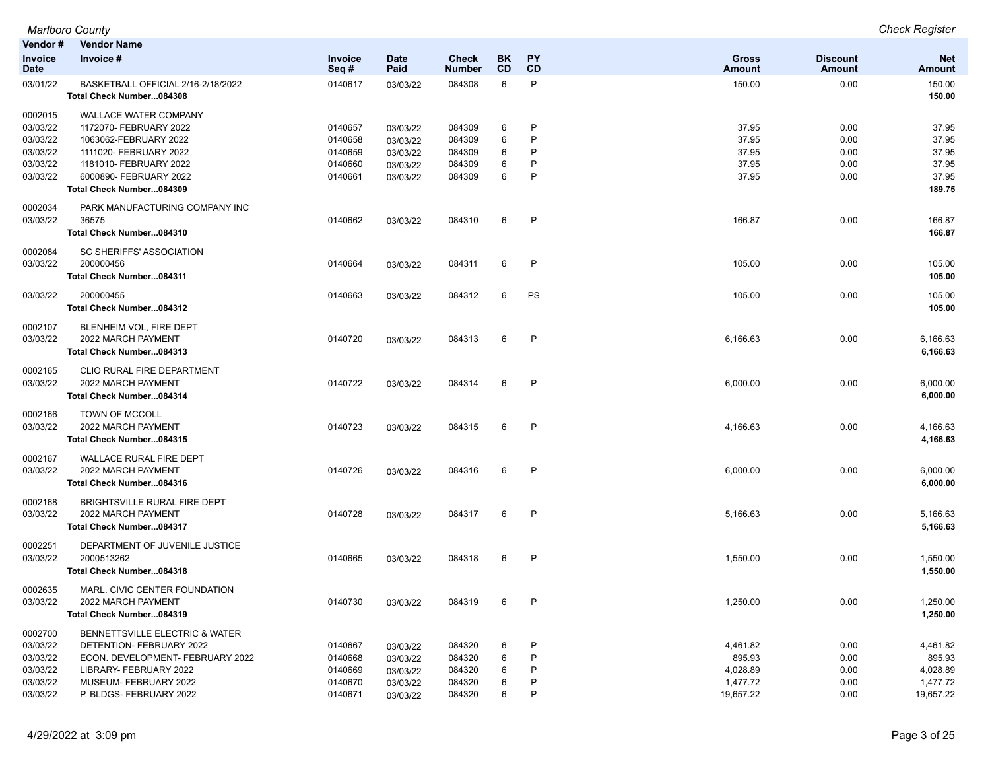| Vendor #                      | <b>Vendor Name</b>                                             |                        |                     |                        |                 |                 |                        |                           |                      |
|-------------------------------|----------------------------------------------------------------|------------------------|---------------------|------------------------|-----------------|-----------------|------------------------|---------------------------|----------------------|
| <b>Invoice</b><br><b>Date</b> | Invoice #                                                      | <b>Invoice</b><br>Seq# | <b>Date</b><br>Paid | Check<br><b>Number</b> | BK<br><b>CD</b> | <b>PY</b><br>CD | <b>Gross</b><br>Amount | <b>Discount</b><br>Amount | <b>Net</b><br>Amount |
| 03/01/22                      | BASKETBALL OFFICIAL 2/16-2/18/2022<br>Total Check Number084308 | 0140617                | 03/03/22            | 084308                 | 6               | P               | 150.00                 | 0.00                      | 150.00<br>150.00     |
| 0002015                       | <b>WALLACE WATER COMPANY</b>                                   |                        |                     |                        |                 |                 |                        |                           |                      |
| 03/03/22                      | 1172070- FEBRUARY 2022                                         | 0140657                | 03/03/22            | 084309                 | 6               | P               | 37.95                  | 0.00                      | 37.95                |
| 03/03/22                      | 1063062-FEBRUARY 2022                                          | 0140658                | 03/03/22            | 084309                 | 6               | P               | 37.95                  | 0.00                      | 37.95                |
| 03/03/22                      | 1111020- FEBRUARY 2022                                         | 0140659                | 03/03/22            | 084309                 | 6               | P               | 37.95                  | 0.00                      | 37.95                |
| 03/03/22                      | 1181010- FEBRUARY 2022                                         | 0140660                | 03/03/22            | 084309                 | 6               | P               | 37.95                  | 0.00                      | 37.95                |
| 03/03/22                      | 6000890- FEBRUARY 2022                                         | 0140661                | 03/03/22            | 084309                 | 6               | P               | 37.95                  | 0.00                      | 37.95                |
|                               | Total Check Number084309                                       |                        |                     |                        |                 |                 |                        |                           | 189.75               |
| 0002034<br>03/03/22           | PARK MANUFACTURING COMPANY INC<br>36575                        | 0140662                | 03/03/22            | 084310                 | 6               | $\mathsf{P}$    | 166.87                 | 0.00                      | 166.87               |
|                               | Total Check Number084310                                       |                        |                     |                        |                 |                 |                        |                           | 166.87               |
| 0002084                       | SC SHERIFFS' ASSOCIATION                                       |                        |                     |                        |                 |                 |                        |                           |                      |
| 03/03/22                      | 200000456                                                      | 0140664                | 03/03/22            | 084311                 | 6               | P               | 105.00                 | 0.00                      | 105.00               |
|                               | Total Check Number084311                                       |                        |                     |                        |                 |                 |                        |                           | 105.00               |
| 03/03/22                      | 200000455                                                      | 0140663                | 03/03/22            | 084312                 | 6               | PS              | 105.00                 | 0.00                      | 105.00               |
|                               | Total Check Number084312                                       |                        |                     |                        |                 |                 |                        |                           | 105.00               |
| 0002107                       | BLENHEIM VOL, FIRE DEPT                                        |                        |                     |                        |                 |                 |                        |                           |                      |
| 03/03/22                      | 2022 MARCH PAYMENT                                             | 0140720                | 03/03/22            | 084313                 | 6               | P               | 6,166.63               | 0.00                      | 6,166.63             |
|                               | Total Check Number084313                                       |                        |                     |                        |                 |                 |                        |                           | 6,166.63             |
| 0002165                       | CLIO RURAL FIRE DEPARTMENT                                     |                        |                     |                        |                 |                 |                        |                           |                      |
| 03/03/22                      | 2022 MARCH PAYMENT                                             | 0140722                | 03/03/22            | 084314                 | 6               | $\mathsf{P}$    | 6,000.00               | 0.00                      | 6,000.00             |
|                               | Total Check Number084314                                       |                        |                     |                        |                 |                 |                        |                           | 6,000.00             |
| 0002166                       | TOWN OF MCCOLL                                                 |                        |                     |                        |                 |                 |                        |                           |                      |
| 03/03/22                      | 2022 MARCH PAYMENT                                             | 0140723                | 03/03/22            | 084315                 | 6               | P               | 4,166.63               | 0.00                      | 4,166.63             |
|                               | Total Check Number084315                                       |                        |                     |                        |                 |                 |                        |                           | 4,166.63             |
| 0002167                       | WALLACE RURAL FIRE DEPT                                        |                        |                     |                        |                 |                 |                        |                           |                      |
| 03/03/22                      | 2022 MARCH PAYMENT                                             | 0140726                | 03/03/22            | 084316                 | 6               | P               | 6,000.00               | 0.00                      | 6,000.00             |
|                               | Total Check Number084316                                       |                        |                     |                        |                 |                 |                        |                           | 6,000.00             |
| 0002168                       | BRIGHTSVILLE RURAL FIRE DEPT                                   |                        |                     |                        |                 |                 |                        |                           |                      |
| 03/03/22                      | 2022 MARCH PAYMENT                                             | 0140728                | 03/03/22            | 084317                 | 6               | $\mathsf{P}$    | 5,166.63               | 0.00                      | 5,166.63             |
|                               | Total Check Number084317                                       |                        |                     |                        |                 |                 |                        |                           | 5,166.63             |
| 0002251                       | DEPARTMENT OF JUVENILE JUSTICE                                 |                        |                     |                        |                 |                 |                        |                           |                      |
| 03/03/22                      | 2000513262                                                     | 0140665                | 03/03/22            | 084318                 | 6               | $\mathsf{P}$    | 1,550.00               | 0.00                      | 1,550.00             |
|                               | Total Check Number084318                                       |                        |                     |                        |                 |                 |                        |                           | 1,550.00             |
| 0002635                       | MARL. CIVIC CENTER FOUNDATION                                  |                        |                     |                        |                 |                 |                        |                           |                      |
| 03/03/22                      | 2022 MARCH PAYMENT                                             | 0140730                | 03/03/22            | 084319                 |                 |                 | 1,250.00               | 0.00                      | 1,250.00             |
|                               | Total Check Number084319                                       |                        |                     |                        |                 |                 |                        |                           | 1,250.00             |
| 0002700                       | BENNETTSVILLE ELECTRIC & WATER                                 |                        |                     |                        |                 |                 |                        |                           |                      |
| 03/03/22                      | DETENTION- FEBRUARY 2022                                       | 0140667                | 03/03/22            | 084320                 | 6               | P               | 4,461.82               | 0.00                      | 4,461.82             |
| 03/03/22                      | ECON. DEVELOPMENT- FEBRUARY 2022                               | 0140668                | 03/03/22            | 084320                 | 6               | P               | 895.93                 | 0.00                      | 895.93               |
| 03/03/22                      | LIBRARY- FEBRUARY 2022                                         | 0140669                | 03/03/22            | 084320                 | 6               | P               | 4,028.89               | 0.00                      | 4,028.89             |
| 03/03/22                      | MUSEUM- FEBRUARY 2022                                          | 0140670                | 03/03/22            | 084320                 | 6               | P               | 1,477.72               | 0.00                      | 1,477.72             |
| 03/03/22                      | P. BLDGS- FEBRUARY 2022                                        | 0140671                | 03/03/22            | 084320                 | 6               | P               | 19,657.22              | 0.00                      | 19,657.22            |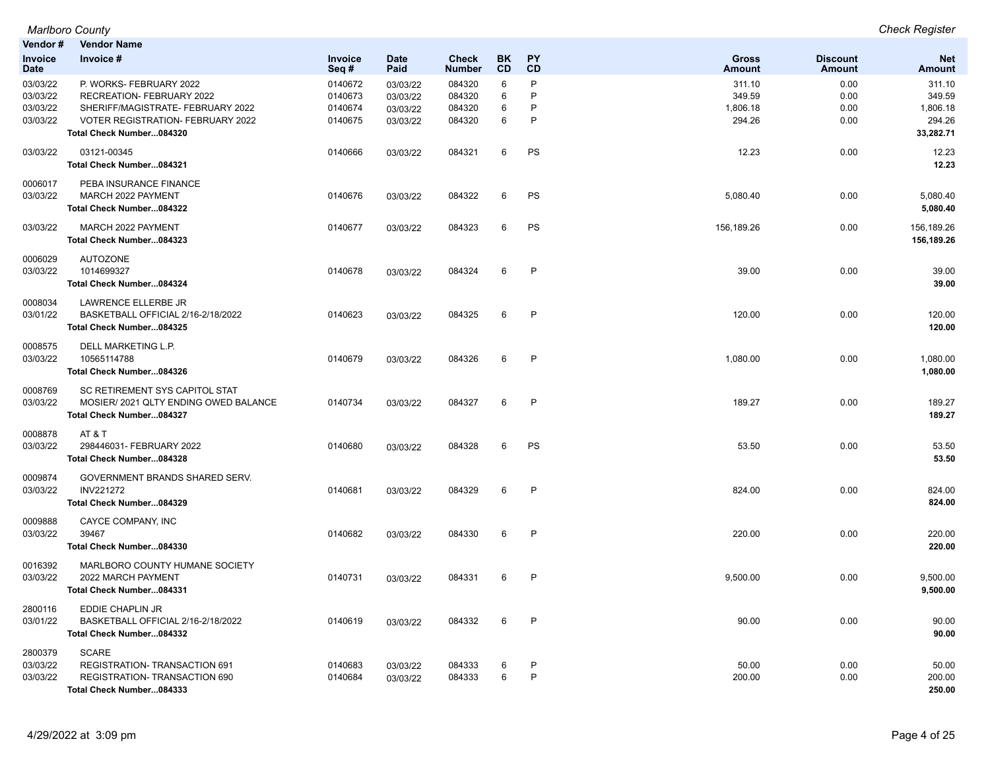| Vendor #                                     | <b>Vendor Name</b>                                                                                                                                                |                                          |                                              |                                      |                        |                   |                                        |                                  |                                                     |
|----------------------------------------------|-------------------------------------------------------------------------------------------------------------------------------------------------------------------|------------------------------------------|----------------------------------------------|--------------------------------------|------------------------|-------------------|----------------------------------------|----------------------------------|-----------------------------------------------------|
| <b>Invoice</b><br><b>Date</b>                | Invoice #                                                                                                                                                         | <b>Invoice</b><br>Seq#                   | <b>Date</b><br>Paid                          | <b>Check</b><br><b>Number</b>        | <b>BK</b><br><b>CD</b> | <b>PY</b><br>CD   | <b>Gross</b><br><b>Amount</b>          | <b>Discount</b><br><b>Amount</b> | <b>Net</b><br><b>Amount</b>                         |
| 03/03/22<br>03/03/22<br>03/03/22<br>03/03/22 | P. WORKS- FEBRUARY 2022<br>RECREATION- FEBRUARY 2022<br>SHERIFF/MAGISTRATE- FEBRUARY 2022<br><b>VOTER REGISTRATION- FEBRUARY 2022</b><br>Total Check Number084320 | 0140672<br>0140673<br>0140674<br>0140675 | 03/03/22<br>03/03/22<br>03/03/22<br>03/03/22 | 084320<br>084320<br>084320<br>084320 | 6<br>6<br>6<br>6       | P<br>P<br>P<br>P  | 311.10<br>349.59<br>1,806.18<br>294.26 | 0.00<br>0.00<br>0.00<br>0.00     | 311.10<br>349.59<br>1,806.18<br>294.26<br>33,282.71 |
| 03/03/22                                     | 03121-00345<br>Total Check Number084321                                                                                                                           | 0140666                                  | 03/03/22                                     | 084321                               | 6                      | PS                | 12.23                                  | 0.00                             | 12.23<br>12.23                                      |
| 0006017<br>03/03/22                          | PEBA INSURANCE FINANCE<br>MARCH 2022 PAYMENT<br>Total Check Number084322                                                                                          | 0140676                                  | 03/03/22                                     | 084322                               | 6                      | PS                | 5,080.40                               | 0.00                             | 5,080.40<br>5,080.40                                |
| 03/03/22                                     | MARCH 2022 PAYMENT<br>Total Check Number084323                                                                                                                    | 0140677                                  | 03/03/22                                     | 084323                               | 6                      | PS                | 156,189.26                             | 0.00                             | 156,189.26<br>156,189.26                            |
| 0006029<br>03/03/22                          | <b>AUTOZONE</b><br>1014699327<br>Total Check Number084324                                                                                                         | 0140678                                  | 03/03/22                                     | 084324                               | 6                      | P                 | 39.00                                  | 0.00                             | 39.00<br>39.00                                      |
| 0008034<br>03/01/22                          | LAWRENCE ELLERBE JR<br>BASKETBALL OFFICIAL 2/16-2/18/2022<br>Total Check Number084325                                                                             | 0140623                                  | 03/03/22                                     | 084325                               | 6                      | $\mathsf{P}$      | 120.00                                 | 0.00                             | 120.00<br>120.00                                    |
| 0008575<br>03/03/22                          | DELL MARKETING L.P.<br>10565114788<br>Total Check Number084326                                                                                                    | 0140679                                  | 03/03/22                                     | 084326                               | 6                      | $\mathsf{P}$      | 1,080.00                               | 0.00                             | 1,080.00<br>1,080.00                                |
| 0008769<br>03/03/22                          | SC RETIREMENT SYS CAPITOL STAT<br>MOSIER/2021 QLTY ENDING OWED BALANCE<br>Total Check Number084327                                                                | 0140734                                  | 03/03/22                                     | 084327                               | 6                      | P                 | 189.27                                 | 0.00                             | 189.27<br>189.27                                    |
| 0008878<br>03/03/22                          | AT&T<br>298446031- FEBRUARY 2022<br>Total Check Number084328                                                                                                      | 0140680                                  | 03/03/22                                     | 084328                               | 6                      | PS                | 53.50                                  | 0.00                             | 53.50<br>53.50                                      |
| 0009874<br>03/03/22                          | GOVERNMENT BRANDS SHARED SERV.<br><b>INV221272</b><br>Total Check Number084329                                                                                    | 0140681                                  | 03/03/22                                     | 084329                               | 6                      | $\mathsf{P}$      | 824.00                                 | 0.00                             | 824.00<br>824.00                                    |
| 0009888<br>03/03/22                          | CAYCE COMPANY, INC<br>39467<br>Total Check Number084330                                                                                                           | 0140682                                  | 03/03/22                                     | 084330                               | 6                      | P                 | 220.00                                 | 0.00                             | 220.00<br>220.00                                    |
| 0016392<br>03/03/22                          | MARLBORO COUNTY HUMANE SOCIETY<br>2022 MARCH PAYMENT<br>Total Check Number084331                                                                                  | 0140731                                  | 03/03/22                                     | 084331                               | 6                      | $\mathsf{P}$      | 9,500.00                               | 0.00                             | 9,500.00<br>9,500.00                                |
| 2800116<br>03/01/22                          | <b>EDDIE CHAPLIN JR</b><br>BASKETBALL OFFICIAL 2/16-2/18/2022<br>Total Check Number084332                                                                         | 0140619                                  | 03/03/22                                     | 084332                               | 6                      | $\mathsf{P}$      | 90.00                                  | 0.00                             | 90.00<br>90.00                                      |
| 2800379<br>03/03/22<br>03/03/22              | <b>SCARE</b><br>REGISTRATION- TRANSACTION 691<br><b>REGISTRATION- TRANSACTION 690</b><br>Total Check Number084333                                                 | 0140683<br>0140684                       | 03/03/22<br>03/03/22                         | 084333<br>084333                     | 6<br>6                 | $\mathsf{P}$<br>P | 50.00<br>200.00                        | 0.00<br>0.00                     | 50.00<br>200.00<br>250.00                           |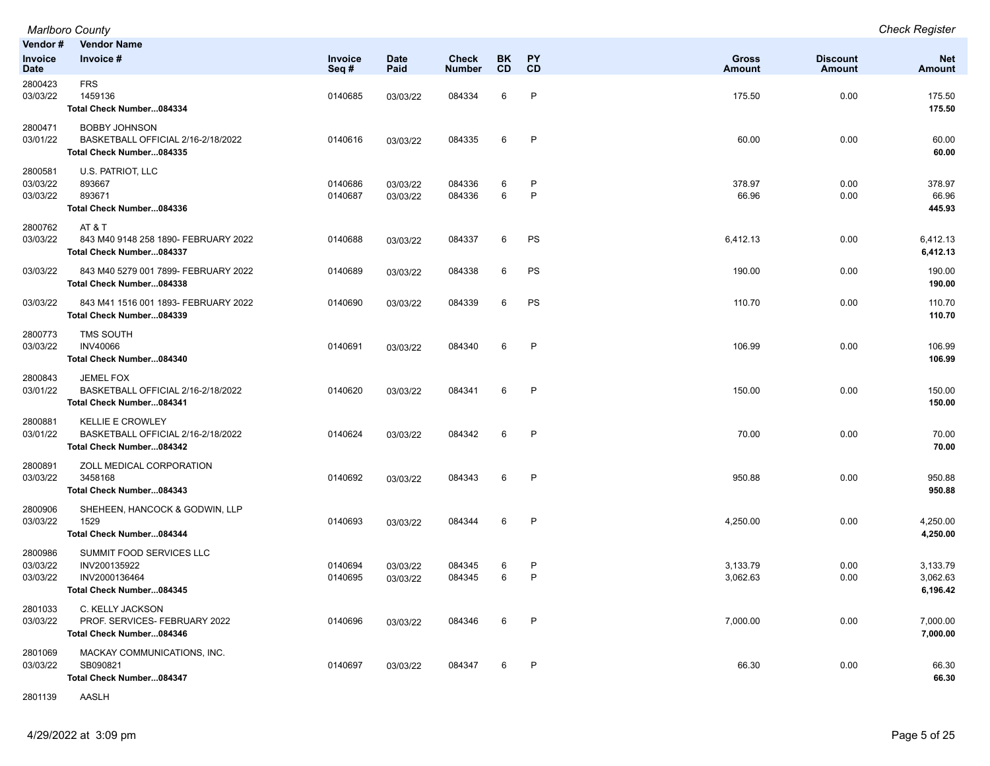| Vendor #                        | <b>Vendor Name</b>                                                                        |                    |                      |                        |          |              |                               |                                  |                                  |
|---------------------------------|-------------------------------------------------------------------------------------------|--------------------|----------------------|------------------------|----------|--------------|-------------------------------|----------------------------------|----------------------------------|
| Invoice<br>Date                 | Invoice #                                                                                 | Invoice<br>Seq#    | <b>Date</b><br>Paid  | Check<br><b>Number</b> | BK<br>CD | PY<br>CD     | <b>Gross</b><br><b>Amount</b> | <b>Discount</b><br><b>Amount</b> | <b>Net</b><br>Amount             |
| 2800423<br>03/03/22             | <b>FRS</b><br>1459136<br>Total Check Number084334                                         | 0140685            | 03/03/22             | 084334                 | 6        | P            | 175.50                        | 0.00                             | 175.50<br>175.50                 |
| 2800471<br>03/01/22             | <b>BOBBY JOHNSON</b><br>BASKETBALL OFFICIAL 2/16-2/18/2022<br>Total Check Number084335    | 0140616            | 03/03/22             | 084335                 | 6        | $\mathsf{P}$ | 60.00                         | 0.00                             | 60.00<br>60.00                   |
| 2800581<br>03/03/22<br>03/03/22 | U.S. PATRIOT, LLC<br>893667<br>893671<br>Total Check Number084336                         | 0140686<br>0140687 | 03/03/22<br>03/03/22 | 084336<br>084336       | 6<br>6   | P<br>P       | 378.97<br>66.96               | 0.00<br>0.00                     | 378.97<br>66.96<br>445.93        |
| 2800762<br>03/03/22             | AT&T<br>843 M40 9148 258 1890- FEBRUARY 2022<br>Total Check Number084337                  | 0140688            | 03/03/22             | 084337                 | 6        | PS           | 6,412.13                      | 0.00                             | 6,412.13<br>6,412.13             |
| 03/03/22                        | 843 M40 5279 001 7899- FEBRUARY 2022<br>Total Check Number084338                          | 0140689            | 03/03/22             | 084338                 | 6        | PS           | 190.00                        | 0.00                             | 190.00<br>190.00                 |
| 03/03/22                        | 843 M41 1516 001 1893- FEBRUARY 2022<br>Total Check Number084339                          | 0140690            | 03/03/22             | 084339                 | 6        | PS           | 110.70                        | 0.00                             | 110.70<br>110.70                 |
| 2800773<br>03/03/22             | <b>TMS SOUTH</b><br><b>INV40066</b><br>Total Check Number084340                           | 0140691            | 03/03/22             | 084340                 | 6        | P            | 106.99                        | 0.00                             | 106.99<br>106.99                 |
| 2800843<br>03/01/22             | <b>JEMEL FOX</b><br>BASKETBALL OFFICIAL 2/16-2/18/2022<br>Total Check Number084341        | 0140620            | 03/03/22             | 084341                 | 6        | P            | 150.00                        | 0.00                             | 150.00<br>150.00                 |
| 2800881<br>03/01/22             | <b>KELLIE E CROWLEY</b><br>BASKETBALL OFFICIAL 2/16-2/18/2022<br>Total Check Number084342 | 0140624            | 03/03/22             | 084342                 | 6        | P            | 70.00                         | 0.00                             | 70.00<br>70.00                   |
| 2800891<br>03/03/22             | ZOLL MEDICAL CORPORATION<br>3458168<br>Total Check Number084343                           | 0140692            | 03/03/22             | 084343                 | 6        | P            | 950.88                        | 0.00                             | 950.88<br>950.88                 |
| 2800906<br>03/03/22             | SHEHEEN, HANCOCK & GODWIN, LLP<br>1529<br>Total Check Number084344                        | 0140693            | 03/03/22             | 084344                 | 6        | P            | 4,250.00                      | 0.00                             | 4,250.00<br>4,250.00             |
| 2800986<br>03/03/22<br>03/03/22 | SUMMIT FOOD SERVICES LLC<br>INV200135922<br>INV2000136464<br>Total Check Number084345     | 0140694<br>0140695 | 03/03/22<br>03/03/22 | 084345<br>084345       | 6<br>6   | P<br>P       | 3,133.79<br>3,062.63          | 0.00<br>0.00                     | 3,133.79<br>3,062.63<br>6,196.42 |
| 2801033<br>03/03/22             | C. KELLY JACKSON<br>PROF. SERVICES- FEBRUARY 2022<br>Total Check Number084346             | 0140696            | 03/03/22             | 084346                 | 6        | P            | 7,000.00                      | 0.00                             | 7,000.00<br>7,000.00             |
| 2801069<br>03/03/22             | MACKAY COMMUNICATIONS, INC.<br>SB090821<br>Total Check Number084347                       | 0140697            | 03/03/22             | 084347                 | 6        | P            | 66.30                         | 0.00                             | 66.30<br>66.30                   |

2801139 AASLH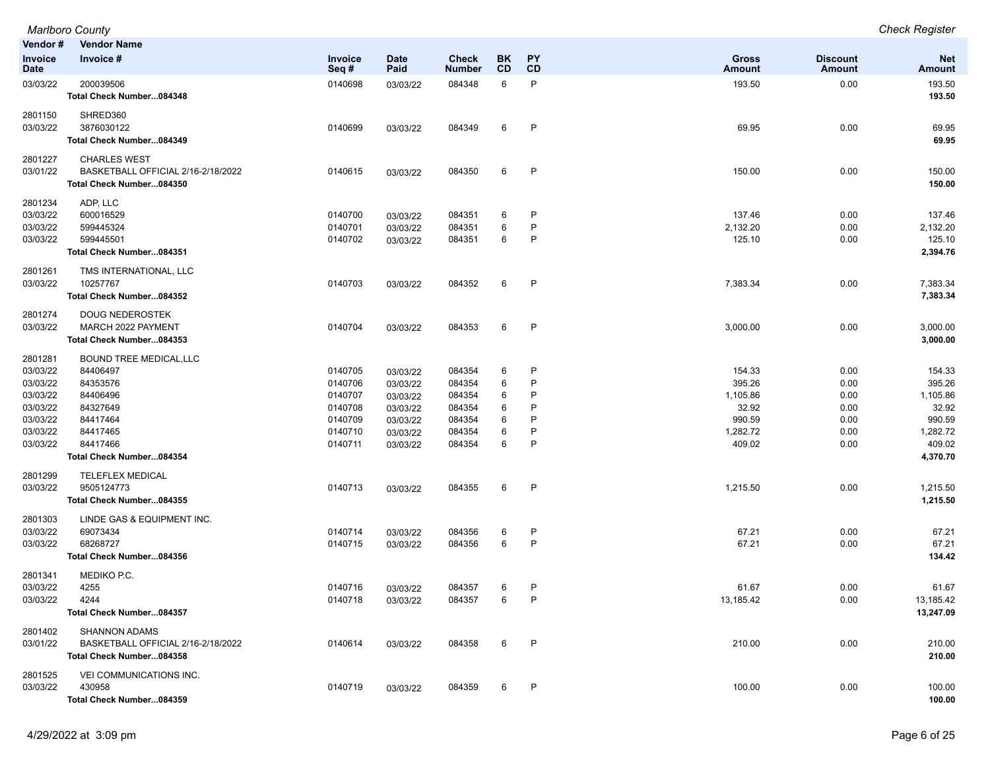|                 | <b>Marlboro County</b>                                         |                 |                     |                        |                  |                 |                               |                                  | <b>Check Register</b> |
|-----------------|----------------------------------------------------------------|-----------------|---------------------|------------------------|------------------|-----------------|-------------------------------|----------------------------------|-----------------------|
| Vendor #        | <b>Vendor Name</b>                                             |                 |                     |                        |                  |                 |                               |                                  |                       |
| Invoice<br>Date | Invoice #                                                      | Invoice<br>Seq# | <b>Date</b><br>Paid | Check<br><b>Number</b> | BK.<br><b>CD</b> | <b>PY</b><br>CD | <b>Gross</b><br><b>Amount</b> | <b>Discount</b><br><b>Amount</b> | <b>Net</b><br>Amount  |
| 03/03/22        | 200039506<br>Total Check Number084348                          | 0140698         | 03/03/22            | 084348                 | 6                | P               | 193.50                        | 0.00                             | 193.50<br>193.50      |
| 2801150         | SHRED360                                                       |                 |                     |                        |                  |                 |                               |                                  |                       |
| 03/03/22        | 3876030122<br>Total Check Number084349                         | 0140699         | 03/03/22            | 084349                 | 6                | $\mathsf{P}$    | 69.95                         | 0.00                             | 69.95<br>69.95        |
| 2801227         | <b>CHARLES WEST</b>                                            |                 |                     |                        |                  |                 |                               |                                  |                       |
| 03/01/22        | BASKETBALL OFFICIAL 2/16-2/18/2022<br>Total Check Number084350 | 0140615         | 03/03/22            | 084350                 | 6                | $\mathsf{P}$    | 150.00                        | 0.00                             | 150.00<br>150.00      |
| 2801234         | ADP, LLC                                                       |                 |                     |                        |                  |                 |                               |                                  |                       |
| 03/03/22        | 600016529                                                      | 0140700         | 03/03/22            | 084351                 | 6                | P               | 137.46                        | 0.00                             | 137.46                |
| 03/03/22        | 599445324                                                      | 0140701         | 03/03/22            | 084351                 | 6                | P               | 2,132.20                      | 0.00                             | 2,132.20              |
| 03/03/22        | 599445501                                                      | 0140702         | 03/03/22            | 084351                 | 6                | P               | 125.10                        | 0.00                             | 125.10                |
|                 | Total Check Number084351                                       |                 |                     |                        |                  |                 |                               |                                  | 2,394.76              |
| 2801261         | TMS INTERNATIONAL, LLC                                         |                 |                     |                        |                  |                 |                               |                                  |                       |
| 03/03/22        | 10257767                                                       | 0140703         | 03/03/22            | 084352                 | 6                | $\mathsf{P}$    | 7,383.34                      | 0.00                             | 7,383.34              |
|                 | Total Check Number084352                                       |                 |                     |                        |                  |                 |                               |                                  | 7,383.34              |
| 2801274         | <b>DOUG NEDEROSTEK</b>                                         |                 |                     |                        |                  |                 |                               |                                  |                       |
| 03/03/22        | MARCH 2022 PAYMENT                                             | 0140704         | 03/03/22            | 084353                 | 6                | P               | 3,000.00                      | 0.00                             | 3,000.00              |
|                 | Total Check Number084353                                       |                 |                     |                        |                  |                 |                               |                                  | 3,000.00              |
| 2801281         | <b>BOUND TREE MEDICAL, LLC</b>                                 |                 |                     |                        |                  |                 |                               |                                  |                       |
| 03/03/22        | 84406497                                                       | 0140705         | 03/03/22            | 084354                 | 6                | P               | 154.33                        | 0.00                             | 154.33                |
| 03/03/22        | 84353576                                                       | 0140706         | 03/03/22            | 084354                 | 6                | P               | 395.26                        | 0.00                             | 395.26                |
| 03/03/22        | 84406496                                                       | 0140707         | 03/03/22            | 084354                 | 6                |                 | 1,105.86                      | 0.00                             | 1,105.86              |
| 03/03/22        | 84327649                                                       | 0140708         | 03/03/22            | 084354                 | 6                |                 | 32.92                         | 0.00                             | 32.92                 |
| 03/03/22        | 84417464                                                       | 0140709         | 03/03/22            | 084354                 | 6                | P               | 990.59                        | 0.00                             | 990.59                |
| 03/03/22        | 84417465                                                       | 0140710         | 03/03/22            | 084354                 | 6                | P               | 1,282.72                      | 0.00                             | 1,282.72              |
| 03/03/22        | 84417466                                                       | 0140711         | 03/03/22            | 084354                 | 6                | P               | 409.02                        | 0.00                             | 409.02                |
|                 | Total Check Number084354                                       |                 |                     |                        |                  |                 |                               |                                  | 4,370.70              |
| 2801299         | <b>TELEFLEX MEDICAL</b>                                        |                 |                     |                        |                  |                 |                               |                                  |                       |
| 03/03/22        | 9505124773                                                     | 0140713         | 03/03/22            | 084355                 | 6                | $\mathsf{P}$    | 1,215.50                      | 0.00                             | 1,215.50              |
|                 | Total Check Number084355                                       |                 |                     |                        |                  |                 |                               |                                  | 1,215.50              |
| 2801303         | LINDE GAS & EQUIPMENT INC.                                     |                 |                     |                        |                  |                 |                               |                                  |                       |
| 03/03/22        | 69073434                                                       | 0140714         | 03/03/22            | 084356                 | 6                | P               | 67.21                         | 0.00                             | 67.21                 |
| 03/03/22        | 68268727                                                       | 0140715         | 03/03/22            | 084356                 | 6                | P               | 67.21                         | 0.00                             | 67.21                 |
|                 | Total Check Number084356                                       |                 |                     |                        |                  |                 |                               |                                  | 134.42                |
| 2801341         | MEDIKO P.C.                                                    |                 |                     |                        |                  |                 |                               |                                  |                       |
| 03/03/22        | 4255                                                           | 0140716         | 03/03/22            | 084357                 | 6                |                 | 61.67                         | 0.00                             | 61.67                 |
| 03/03/22        | 4244                                                           | 0140718         | 03/03/22            | 084357                 | 6                | P               | 13,185.42                     | 0.00                             | 13,185.42             |
|                 | Total Check Number084357                                       |                 |                     |                        |                  |                 |                               |                                  | 13,247.09             |
| 2801402         | <b>SHANNON ADAMS</b>                                           |                 |                     |                        |                  |                 |                               |                                  |                       |
| 03/01/22        | BASKETBALL OFFICIAL 2/16-2/18/2022                             | 0140614         | 03/03/22            | 084358                 | 6                | P               | 210.00                        | 0.00                             | 210.00                |
|                 | Total Check Number084358                                       |                 |                     |                        |                  |                 |                               |                                  | 210.00                |
| 2801525         | VEI COMMUNICATIONS INC.                                        |                 |                     |                        |                  |                 |                               |                                  |                       |
| 03/03/22        | 430958                                                         | 0140719         | 03/03/22            | 084359                 | 6                | P               | 100.00                        | 0.00                             | 100.00                |
|                 | Total Check Number084359                                       |                 |                     |                        |                  |                 |                               |                                  | 100.00                |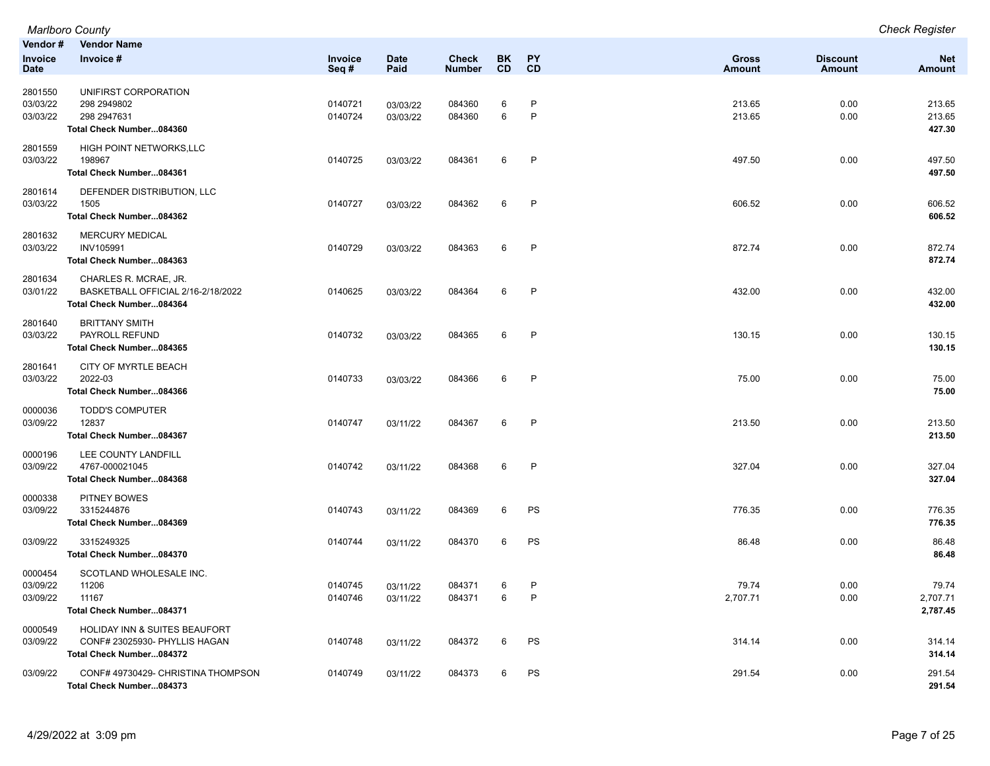|                               | <b>Marlboro County</b>                 |                    |                      |                               |                 |              |                               |                                  | <b>Check Register</b>       |
|-------------------------------|----------------------------------------|--------------------|----------------------|-------------------------------|-----------------|--------------|-------------------------------|----------------------------------|-----------------------------|
| Vendor#                       | <b>Vendor Name</b>                     |                    |                      |                               |                 |              |                               |                                  |                             |
| <b>Invoice</b><br><b>Date</b> | Invoice #                              | Invoice<br>Seq#    | <b>Date</b><br>Paid  | <b>Check</b><br><b>Number</b> | BK<br><b>CD</b> | PY<br>CD     | <b>Gross</b><br><b>Amount</b> | <b>Discount</b><br><b>Amount</b> | <b>Net</b><br><b>Amount</b> |
|                               |                                        |                    |                      |                               |                 |              |                               |                                  |                             |
| 2801550                       | UNIFIRST CORPORATION                   |                    |                      |                               |                 |              |                               |                                  |                             |
| 03/03/22<br>03/03/22          | 298 294 980 2<br>298 2947631           | 0140721<br>0140724 | 03/03/22<br>03/03/22 | 084360<br>084360              | 6<br>6          | P<br>P       | 213.65<br>213.65              | 0.00<br>0.00                     | 213.65<br>213.65            |
|                               | Total Check Number084360               |                    |                      |                               |                 |              |                               |                                  | 427.30                      |
| 2801559                       | HIGH POINT NETWORKS, LLC               |                    |                      |                               |                 |              |                               |                                  |                             |
| 03/03/22                      | 198967                                 | 0140725            | 03/03/22             | 084361                        | 6               | P            | 497.50                        | 0.00                             | 497.50                      |
|                               | Total Check Number084361               |                    |                      |                               |                 |              |                               |                                  | 497.50                      |
| 2801614                       | DEFENDER DISTRIBUTION, LLC             |                    |                      |                               |                 |              |                               |                                  |                             |
| 03/03/22                      | 1505<br>Total Check Number084362       | 0140727            | 03/03/22             | 084362                        | 6               | $\mathsf{P}$ | 606.52                        | 0.00                             | 606.52<br>606.52            |
|                               |                                        |                    |                      |                               |                 |              |                               |                                  |                             |
| 2801632<br>03/03/22           | <b>MERCURY MEDICAL</b><br>INV105991    | 0140729            | 03/03/22             | 084363                        | 6               | P            | 872.74                        | 0.00                             | 872.74                      |
|                               | Total Check Number084363               |                    |                      |                               |                 |              |                               |                                  | 872.74                      |
| 2801634                       | CHARLES R. MCRAE, JR.                  |                    |                      |                               |                 |              |                               |                                  |                             |
| 03/01/22                      | BASKETBALL OFFICIAL 2/16-2/18/2022     | 0140625            | 03/03/22             | 084364                        | 6               | $\mathsf{P}$ | 432.00                        | 0.00                             | 432.00                      |
|                               | Total Check Number084364               |                    |                      |                               |                 |              |                               |                                  | 432.00                      |
| 2801640                       | <b>BRITTANY SMITH</b>                  |                    |                      |                               |                 |              |                               |                                  |                             |
| 03/03/22                      | PAYROLL REFUND                         | 0140732            | 03/03/22             | 084365                        | 6               | $\mathsf{P}$ | 130.15                        | 0.00                             | 130.15                      |
|                               | Total Check Number084365               |                    |                      |                               |                 |              |                               |                                  | 130.15                      |
| 2801641                       | CITY OF MYRTLE BEACH                   |                    |                      |                               |                 |              |                               |                                  |                             |
| 03/03/22                      | 2022-03<br>Total Check Number084366    | 0140733            | 03/03/22             | 084366                        | 6               | $\mathsf{P}$ | 75.00                         | 0.00                             | 75.00<br>75.00              |
|                               |                                        |                    |                      |                               |                 |              |                               |                                  |                             |
| 0000036<br>03/09/22           | <b>TODD'S COMPUTER</b><br>12837        | 0140747            | 03/11/22             | 084367                        | 6               | P            | 213.50                        | 0.00                             | 213.50                      |
|                               | Total Check Number084367               |                    |                      |                               |                 |              |                               |                                  | 213.50                      |
| 0000196                       | LEE COUNTY LANDFILL                    |                    |                      |                               |                 |              |                               |                                  |                             |
| 03/09/22                      | 4767-000021045                         | 0140742            | 03/11/22             | 084368                        | 6               | $\mathsf{P}$ | 327.04                        | 0.00                             | 327.04                      |
|                               | Total Check Number084368               |                    |                      |                               |                 |              |                               |                                  | 327.04                      |
| 0000338                       | <b>PITNEY BOWES</b>                    |                    |                      |                               |                 |              |                               |                                  |                             |
| 03/09/22                      | 3315244876                             | 0140743            | 03/11/22             | 084369                        | 6               | PS           | 776.35                        | 0.00                             | 776.35                      |
|                               | Total Check Number084369               |                    |                      |                               |                 |              |                               |                                  | 776.35                      |
| 03/09/22                      | 3315249325<br>Total Check Number084370 | 0140744            | 03/11/22             | 084370                        | 6               | PS           | 86.48                         | 0.00                             | 86.48<br>86.48              |
|                               |                                        |                    |                      |                               |                 |              |                               |                                  |                             |
| 0000454<br>03/09/22           | SCOTLAND WHOLESALE INC.<br>11206       | 0140745            |                      | 084371                        | 6               | P            | 79.74                         | 0.00                             | 79.74                       |
| 03/09/22                      | 11167                                  | 0140746            | 03/11/22<br>03/11/22 | 084371                        | 6               | P            | 2,707.71                      | 0.00                             | 2,707.71                    |
|                               | Total Check Number084371               |                    |                      |                               |                 |              |                               |                                  | 2,787.45                    |
| 0000549                       | HOLIDAY INN & SUITES BEAUFORT          |                    |                      |                               |                 |              |                               |                                  |                             |
| 03/09/22                      | CONF# 23025930- PHYLLIS HAGAN          | 0140748            | 03/11/22             | 084372                        | 6               | PS           | 314.14                        | 0.00                             | 314.14                      |
|                               | Total Check Number084372               |                    |                      |                               |                 |              |                               |                                  | 314.14                      |
| 03/09/22                      | CONF# 49730429- CHRISTINA THOMPSON     | 0140749            | 03/11/22             | 084373                        | 6               | PS           | 291.54                        | 0.00                             | 291.54                      |
|                               | Total Check Number084373               |                    |                      |                               |                 |              |                               |                                  | 291.54                      |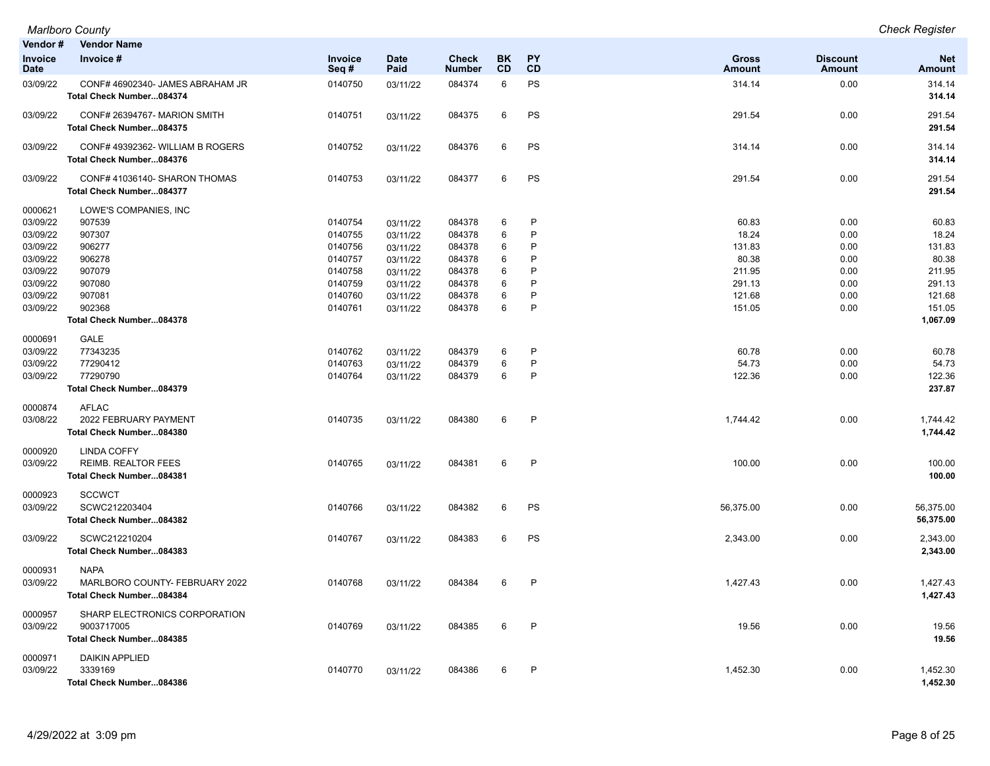| Vendor#                | <b>Vendor Name</b>                                           |                 |                     |                               |                 |              |                               |                                  |                             |
|------------------------|--------------------------------------------------------------|-----------------|---------------------|-------------------------------|-----------------|--------------|-------------------------------|----------------------------------|-----------------------------|
| Invoice<br><b>Date</b> | Invoice #                                                    | Invoice<br>Seq# | <b>Date</b><br>Paid | <b>Check</b><br><b>Number</b> | <b>BK</b><br>CD | PY<br>CD     | <b>Gross</b><br><b>Amount</b> | <b>Discount</b><br><b>Amount</b> | <b>Net</b><br><b>Amount</b> |
| 03/09/22               | CONF# 46902340- JAMES ABRAHAM JR<br>Total Check Number084374 | 0140750         | 03/11/22            | 084374                        | 6               | PS           | 314.14                        | 0.00                             | 314.14<br>314.14            |
| 03/09/22               | CONF# 26394767- MARION SMITH<br>Total Check Number084375     | 0140751         | 03/11/22            | 084375                        | 6               | PS           | 291.54                        | 0.00                             | 291.54<br>291.54            |
| 03/09/22               | CONF# 49392362- WILLIAM B ROGERS<br>Total Check Number084376 | 0140752         | 03/11/22            | 084376                        | 6               | PS           | 314.14                        | 0.00                             | 314.14<br>314.14            |
| 03/09/22               | CONF# 41036140- SHARON THOMAS<br>Total Check Number084377    | 0140753         | 03/11/22            | 084377                        | 6               | PS           | 291.54                        | 0.00                             | 291.54<br>291.54            |
| 0000621                | LOWE'S COMPANIES, INC                                        |                 |                     |                               |                 |              |                               |                                  |                             |
| 03/09/22               | 907539                                                       | 0140754         | 03/11/22            | 084378                        | 6               | P            | 60.83                         | 0.00                             | 60.83                       |
| 03/09/22               | 907307                                                       | 0140755         | 03/11/22            | 084378                        | 6               | P            | 18.24                         | 0.00                             | 18.24                       |
| 03/09/22               | 906277                                                       | 0140756         | 03/11/22            | 084378                        | 6               | P            | 131.83                        | 0.00                             | 131.83                      |
| 03/09/22               | 906278                                                       | 0140757         | 03/11/22            | 084378                        | 6               | P            | 80.38                         | 0.00                             | 80.38                       |
| 03/09/22               | 907079                                                       | 0140758         | 03/11/22            | 084378                        | 6               | P            | 211.95                        | 0.00                             | 211.95                      |
| 03/09/22               | 907080                                                       | 0140759         | 03/11/22            | 084378                        | 6               | P            | 291.13                        | 0.00                             | 291.13                      |
| 03/09/22               | 907081                                                       | 0140760         | 03/11/22            | 084378                        | 6               | P            | 121.68                        | 0.00                             | 121.68                      |
| 03/09/22               | 902368                                                       | 0140761         | 03/11/22            | 084378                        | 6               | P            | 151.05                        | 0.00                             | 151.05                      |
|                        | Total Check Number084378                                     |                 |                     |                               |                 |              |                               |                                  | 1,067.09                    |
| 0000691                | GALE                                                         |                 |                     |                               |                 |              |                               |                                  |                             |
| 03/09/22               | 77343235                                                     | 0140762         | 03/11/22            | 084379                        | 6               | P            | 60.78                         | 0.00                             | 60.78                       |
| 03/09/22               | 77290412                                                     | 0140763         | 03/11/22            | 084379                        | 6               | P            | 54.73                         | 0.00                             | 54.73                       |
| 03/09/22               | 77290790                                                     | 0140764         | 03/11/22            | 084379                        | 6               | P            | 122.36                        | 0.00                             | 122.36                      |
|                        | Total Check Number084379                                     |                 |                     |                               |                 |              |                               |                                  | 237.87                      |
| 0000874                | <b>AFLAC</b>                                                 |                 |                     |                               |                 |              |                               |                                  |                             |
| 03/08/22               | 2022 FEBRUARY PAYMENT                                        | 0140735         | 03/11/22            | 084380                        | 6               | P            | 1,744.42                      | 0.00                             | 1,744.42                    |
|                        | Total Check Number084380                                     |                 |                     |                               |                 |              |                               |                                  | 1,744.42                    |
| 0000920                | <b>LINDA COFFY</b>                                           |                 |                     |                               |                 |              |                               |                                  |                             |
| 03/09/22               | <b>REIMB. REALTOR FEES</b>                                   | 0140765         | 03/11/22            | 084381                        | 6               | P            | 100.00                        | 0.00                             | 100.00                      |
|                        | Total Check Number084381                                     |                 |                     |                               |                 |              |                               |                                  | 100.00                      |
| 0000923                | <b>SCCWCT</b>                                                |                 |                     |                               |                 |              |                               |                                  |                             |
| 03/09/22               | SCWC212203404                                                | 0140766         | 03/11/22            | 084382                        | 6               | PS           | 56,375.00                     | 0.00                             | 56,375.00                   |
|                        | Total Check Number084382                                     |                 |                     |                               |                 |              |                               |                                  | 56,375.00                   |
| 03/09/22               | SCWC212210204                                                | 0140767         | 03/11/22            | 084383                        | 6               | PS           | 2,343.00                      | 0.00                             | 2,343.00                    |
|                        | Total Check Number084383                                     |                 |                     |                               |                 |              |                               |                                  | 2,343.00                    |
| 0000931                | <b>NAPA</b>                                                  |                 |                     |                               |                 |              |                               |                                  |                             |
| 03/09/22               | MARLBORO COUNTY- FEBRUARY 2022                               | 0140768         | 03/11/22            | 084384                        | 6               | P            | 1,427.43                      | 0.00                             | 1,427.43                    |
|                        | Total Check Number084384                                     |                 |                     |                               |                 |              |                               |                                  | 1,427.43                    |
|                        |                                                              |                 |                     |                               |                 |              |                               |                                  |                             |
| 0000957                | SHARP ELECTRONICS CORPORATION                                |                 |                     |                               |                 |              |                               |                                  |                             |
| 03/09/22               | 9003717005                                                   | 0140769         | 03/11/22            | 084385                        | 6               | $\mathsf{P}$ | 19.56                         | 0.00                             | 19.56                       |
|                        | Total Check Number084385                                     |                 |                     |                               |                 |              |                               |                                  | 19.56                       |
| 0000971                | <b>DAIKIN APPLIED</b>                                        |                 |                     |                               |                 |              |                               |                                  |                             |
| 03/09/22               | 3339169                                                      | 0140770         | 03/11/22            | 084386                        | 6               | P            | 1,452.30                      | 0.00                             | 1,452.30                    |
|                        | Total Check Number084386                                     |                 |                     |                               |                 |              |                               |                                  | 1,452.30                    |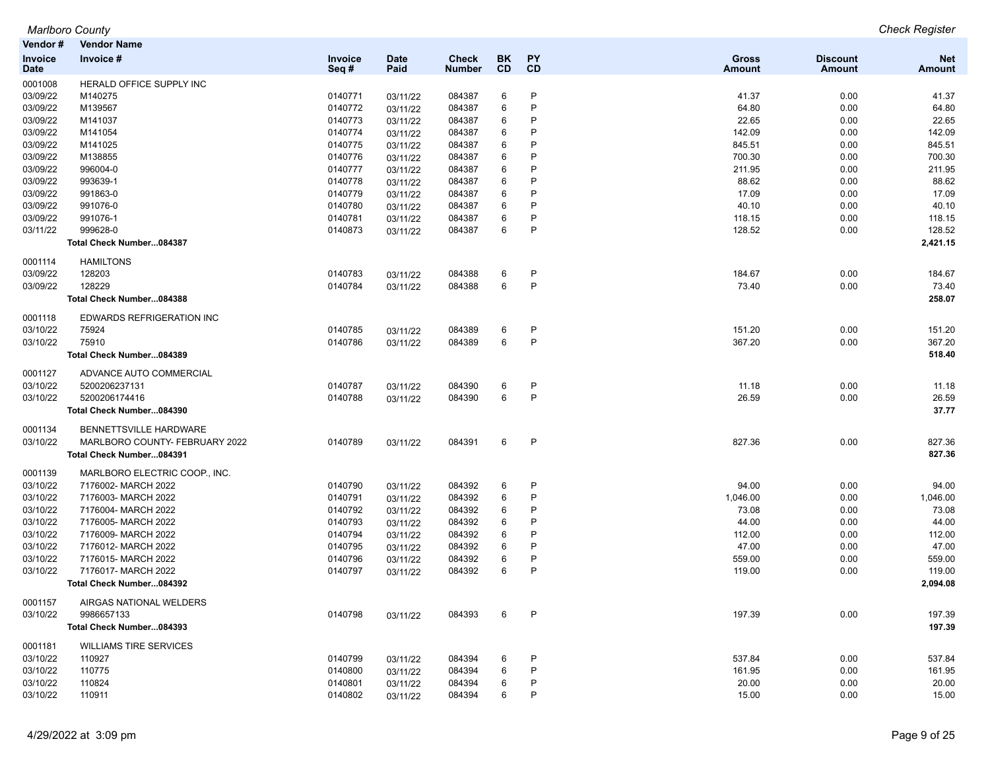| Vendor #               | <b>Vendor Name</b>             |                 |                     |                               |                 |                 |                        |                           |                      |
|------------------------|--------------------------------|-----------------|---------------------|-------------------------------|-----------------|-----------------|------------------------|---------------------------|----------------------|
| <b>Invoice</b><br>Date | Invoice #                      | Invoice<br>Seq# | <b>Date</b><br>Paid | <b>Check</b><br><b>Number</b> | BK<br><b>CD</b> | <b>PY</b><br>CD | Gross<br><b>Amount</b> | <b>Discount</b><br>Amount | <b>Net</b><br>Amount |
| 0001008                | HERALD OFFICE SUPPLY INC       |                 |                     |                               |                 |                 |                        |                           |                      |
| 03/09/22               | M140275                        | 0140771         | 03/11/22            | 084387                        | 6               | P               | 41.37                  | 0.00                      | 41.37                |
| 03/09/22               | M139567                        | 0140772         | 03/11/22            | 084387                        | 6               | P               | 64.80                  | 0.00                      | 64.80                |
| 03/09/22               | M141037                        | 0140773         | 03/11/22            | 084387                        | 6               | P               | 22.65                  | 0.00                      | 22.65                |
| 03/09/22               | M141054                        | 0140774         | 03/11/22            | 084387                        | 6               | P               | 142.09                 | 0.00                      | 142.09               |
| 03/09/22               | M141025                        | 0140775         | 03/11/22            | 084387                        | 6               | P               | 845.51                 | 0.00                      | 845.51               |
| 03/09/22               | M138855                        | 0140776         | 03/11/22            | 084387                        | 6               | P               | 700.30                 | 0.00                      | 700.30               |
| 03/09/22               | 996004-0                       | 0140777         | 03/11/22            | 084387                        | 6               | P               | 211.95                 | 0.00                      | 211.95               |
| 03/09/22               | 993639-1                       | 0140778         | 03/11/22            | 084387                        | 6               | P               | 88.62                  | 0.00                      | 88.62                |
| 03/09/22               | 991863-0                       | 0140779         | 03/11/22            | 084387                        | 6               | P               | 17.09                  | 0.00                      | 17.09                |
| 03/09/22               | 991076-0                       | 0140780         | 03/11/22            | 084387                        | 6               | P               | 40.10                  | 0.00                      | 40.10                |
| 03/09/22               | 991076-1                       | 0140781         | 03/11/22            | 084387                        | 6               | P               | 118.15                 | 0.00                      | 118.15               |
| 03/11/22               | 999628-0                       | 0140873         | 03/11/22            | 084387                        | 6               | P               | 128.52                 | 0.00                      | 128.52               |
|                        | Total Check Number084387       |                 |                     |                               |                 |                 |                        |                           | 2,421.15             |
| 0001114                | <b>HAMILTONS</b>               |                 |                     |                               |                 |                 |                        |                           |                      |
| 03/09/22               | 128203                         | 0140783         | 03/11/22            | 084388                        | 6               | P               | 184.67                 | 0.00                      | 184.67               |
| 03/09/22               | 128229                         | 0140784         | 03/11/22            | 084388                        | 6               | P               | 73.40                  | 0.00                      | 73.40                |
|                        | Total Check Number084388       |                 |                     |                               |                 |                 |                        |                           | 258.07               |
| 0001118                | EDWARDS REFRIGERATION INC      |                 |                     |                               |                 |                 |                        |                           |                      |
| 03/10/22               | 75924                          | 0140785         | 03/11/22            | 084389                        | 6               | P               | 151.20                 | 0.00                      | 151.20               |
| 03/10/22               | 75910                          | 0140786         | 03/11/22            | 084389                        | 6               | $\sf P$         | 367.20                 | 0.00                      | 367.20               |
|                        | Total Check Number084389       |                 |                     |                               |                 |                 |                        |                           | 518.40               |
| 0001127                | ADVANCE AUTO COMMERCIAL        |                 |                     |                               |                 |                 |                        |                           |                      |
| 03/10/22               | 5200206237131                  | 0140787         | 03/11/22            | 084390                        | 6               | P               | 11.18                  | 0.00                      | 11.18                |
| 03/10/22               | 5200206174416                  | 0140788         | 03/11/22            | 084390                        | 6               | P               | 26.59                  | 0.00                      | 26.59                |
|                        | Total Check Number084390       |                 |                     |                               |                 |                 |                        |                           | 37.77                |
| 0001134                | BENNETTSVILLE HARDWARE         |                 |                     |                               |                 |                 |                        |                           |                      |
| 03/10/22               | MARLBORO COUNTY- FEBRUARY 2022 | 0140789         | 03/11/22            | 084391                        | 6               | P               | 827.36                 | 0.00                      | 827.36               |
|                        | Total Check Number084391       |                 |                     |                               |                 |                 |                        |                           | 827.36               |
| 0001139                | MARLBORO ELECTRIC COOP., INC.  |                 |                     |                               |                 |                 |                        |                           |                      |
| 03/10/22               | 7176002- MARCH 2022            | 0140790         | 03/11/22            | 084392                        | 6               | P               | 94.00                  | 0.00                      | 94.00                |
| 03/10/22               | 7176003- MARCH 2022            | 0140791         | 03/11/22            | 084392                        | 6               | P               | 1,046.00               | 0.00                      | 1,046.00             |
| 03/10/22               | 7176004- MARCH 2022            | 0140792         | 03/11/22            | 084392                        | 6               | P               | 73.08                  | 0.00                      | 73.08                |
| 03/10/22               | 7176005- MARCH 2022            | 0140793         | 03/11/22            | 084392                        | 6               | P               | 44.00                  | 0.00                      | 44.00                |
| 03/10/22               | 7176009- MARCH 2022            | 0140794         | 03/11/22            | 084392                        | 6               | P               | 112.00                 | 0.00                      | 112.00               |
| 03/10/22               | 7176012- MARCH 2022            | 0140795         | 03/11/22            | 084392                        | 6               | P               | 47.00                  | 0.00                      | 47.00                |
| 03/10/22               | 7176015- MARCH 2022            | 0140796         | 03/11/22            | 084392                        | 6               | P               | 559.00                 | 0.00                      | 559.00               |
| 03/10/22               | 7176017- MARCH 2022            | 0140797         | 03/11/22            | 084392                        | 6               | P               | 119.00                 | 0.00                      | 119.00               |
|                        | Total Check Number084392       |                 |                     |                               |                 |                 |                        |                           | 2,094.08             |
| 0001157                | AIRGAS NATIONAL WELDERS        |                 |                     |                               |                 |                 |                        |                           |                      |
| 03/10/22               | 9986657133                     | 0140798         | 03/11/22            | 084393                        | 6               | P               | 197.39                 | 0.00                      | 197.39               |
|                        | Total Check Number084393       |                 |                     |                               |                 |                 |                        |                           | 197.39               |
| 0001181                | <b>WILLIAMS TIRE SERVICES</b>  |                 |                     |                               |                 |                 |                        |                           |                      |
| 03/10/22               | 110927                         | 0140799         | 03/11/22            | 084394                        | 6               | P               | 537.84                 | 0.00                      | 537.84               |
| 03/10/22               | 110775                         | 0140800         | 03/11/22            | 084394                        | 6               | P               | 161.95                 | 0.00                      | 161.95               |
| 03/10/22               | 110824                         | 0140801         | 03/11/22            | 084394                        | 6               | P               | 20.00                  | 0.00                      | 20.00                |
| 03/10/22               | 110911                         | 0140802         | 03/11/22            | 084394                        | 6               | P               | 15.00                  | 0.00                      | 15.00                |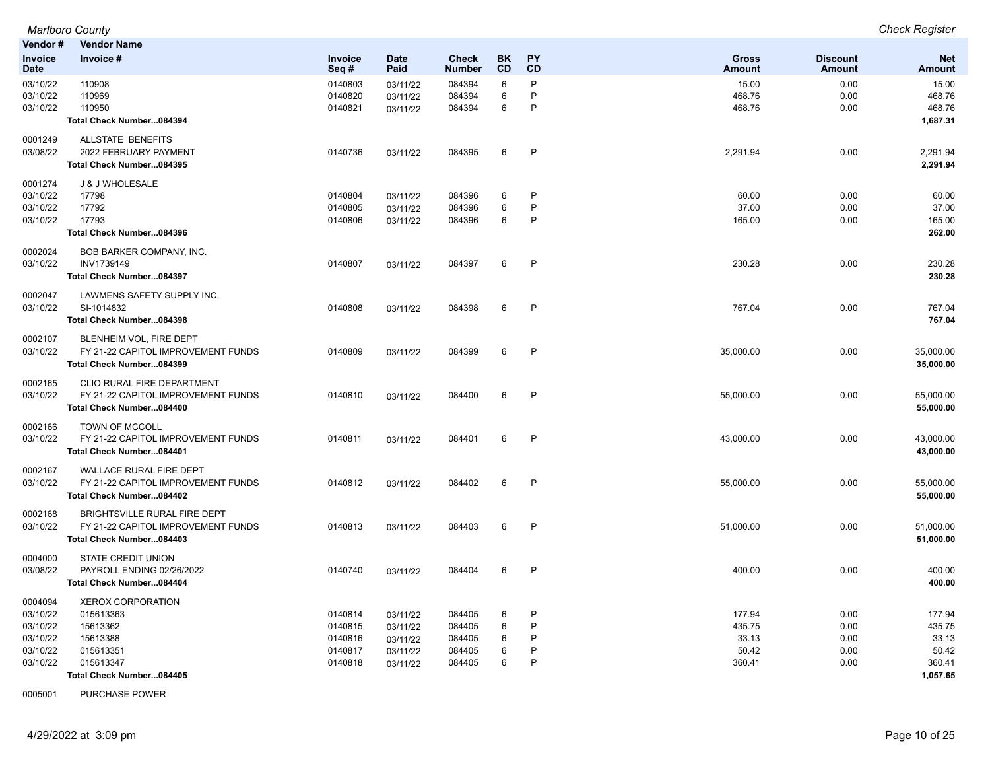| Vendor#                                                             | <b>Vendor Name</b>                                                                                                  |                                                     |                                                          |                                                |                       |                                   |                                              |                                      |                                                          |
|---------------------------------------------------------------------|---------------------------------------------------------------------------------------------------------------------|-----------------------------------------------------|----------------------------------------------------------|------------------------------------------------|-----------------------|-----------------------------------|----------------------------------------------|--------------------------------------|----------------------------------------------------------|
| <b>Invoice</b><br><b>Date</b>                                       | Invoice #                                                                                                           | Invoice<br>Seq#                                     | <b>Date</b><br>Paid                                      | <b>Check</b><br>Number                         | <b>BK</b><br>CD       | <b>PY</b><br>CD                   | <b>Gross</b><br><b>Amount</b>                | <b>Discount</b><br><b>Amount</b>     | <b>Net</b><br><b>Amount</b>                              |
| 03/10/22<br>03/10/22<br>03/10/22                                    | 110908<br>110969<br>110950<br>Total Check Number084394                                                              | 0140803<br>0140820<br>0140821                       | 03/11/22<br>03/11/22<br>03/11/22                         | 084394<br>084394<br>084394                     | 6<br>6<br>6           | $\mathsf{P}$<br>P<br>$\mathsf{P}$ | 15.00<br>468.76<br>468.76                    | 0.00<br>0.00<br>0.00                 | 15.00<br>468.76<br>468.76<br>1,687.31                    |
| 0001249<br>03/08/22                                                 | <b>ALLSTATE BENEFITS</b><br>2022 FEBRUARY PAYMENT<br>Total Check Number084395                                       | 0140736                                             | 03/11/22                                                 | 084395                                         | 6                     | $\mathsf{P}$                      | 2,291.94                                     | 0.00                                 | 2,291.94<br>2,291.94                                     |
| 0001274<br>03/10/22<br>03/10/22<br>03/10/22                         | J & J WHOLESALE<br>17798<br>17792<br>17793<br>Total Check Number084396                                              | 0140804<br>0140805<br>0140806                       | 03/11/22<br>03/11/22<br>03/11/22                         | 084396<br>084396<br>084396                     | 6<br>6<br>6           | P<br>P<br>$\mathsf{P}$            | 60.00<br>37.00<br>165.00                     | 0.00<br>0.00<br>0.00                 | 60.00<br>37.00<br>165.00<br>262.00                       |
| 0002024<br>03/10/22                                                 | BOB BARKER COMPANY, INC.<br>INV1739149<br>Total Check Number084397                                                  | 0140807                                             | 03/11/22                                                 | 084397                                         | 6                     | P                                 | 230.28                                       | 0.00                                 | 230.28<br>230.28                                         |
| 0002047<br>03/10/22                                                 | LAWMENS SAFETY SUPPLY INC.<br>SI-1014832<br>Total Check Number084398                                                | 0140808                                             | 03/11/22                                                 | 084398                                         | 6                     | P                                 | 767.04                                       | 0.00                                 | 767.04<br>767.04                                         |
| 0002107<br>03/10/22                                                 | BLENHEIM VOL, FIRE DEPT<br>FY 21-22 CAPITOL IMPROVEMENT FUNDS<br>Total Check Number084399                           | 0140809                                             | 03/11/22                                                 | 084399                                         | 6                     | $\mathsf{P}$                      | 35,000.00                                    | 0.00                                 | 35,000.00<br>35,000.00                                   |
| 0002165<br>03/10/22                                                 | <b>CLIO RURAL FIRE DEPARTMENT</b><br>FY 21-22 CAPITOL IMPROVEMENT FUNDS<br>Total Check Number084400                 | 0140810                                             | 03/11/22                                                 | 084400                                         | 6                     | $\mathsf{P}$                      | 55,000.00                                    | 0.00                                 | 55,000.00<br>55,000.00                                   |
| 0002166<br>03/10/22                                                 | TOWN OF MCCOLL<br>FY 21-22 CAPITOL IMPROVEMENT FUNDS<br>Total Check Number084401                                    | 0140811                                             | 03/11/22                                                 | 084401                                         | 6                     | $\mathsf{P}$                      | 43,000.00                                    | 0.00                                 | 43,000.00<br>43,000.00                                   |
| 0002167<br>03/10/22                                                 | WALLACE RURAL FIRE DEPT<br>FY 21-22 CAPITOL IMPROVEMENT FUNDS<br>Total Check Number084402                           | 0140812                                             | 03/11/22                                                 | 084402                                         | 6                     | $\mathsf{P}$                      | 55,000.00                                    | 0.00                                 | 55,000.00<br>55,000.00                                   |
| 0002168<br>03/10/22                                                 | BRIGHTSVILLE RURAL FIRE DEPT<br>FY 21-22 CAPITOL IMPROVEMENT FUNDS<br>Total Check Number084403                      | 0140813                                             | 03/11/22                                                 | 084403                                         | 6                     | $\mathsf{P}$                      | 51,000.00                                    | 0.00                                 | 51,000.00<br>51,000.00                                   |
| 0004000<br>03/08/22                                                 | <b>STATE CREDIT UNION</b><br>PAYROLL ENDING 02/26/2022<br>Total Check Number084404                                  | 0140740                                             | 03/11/22                                                 | 084404                                         | 6                     | $\mathsf{P}$                      | 400.00                                       | 0.00                                 | 400.00<br>400.00                                         |
| 0004094<br>03/10/22<br>03/10/22<br>03/10/22<br>03/10/22<br>03/10/22 | <b>XEROX CORPORATION</b><br>015613363<br>15613362<br>15613388<br>015613351<br>015613347<br>Total Check Number084405 | 0140814<br>0140815<br>0140816<br>0140817<br>0140818 | 03/11/22<br>03/11/22<br>03/11/22<br>03/11/22<br>03/11/22 | 084405<br>084405<br>084405<br>084405<br>084405 | 6<br>6<br>6<br>6<br>6 | P<br>P<br>P<br>P<br>P             | 177.94<br>435.75<br>33.13<br>50.42<br>360.41 | 0.00<br>0.00<br>0.00<br>0.00<br>0.00 | 177.94<br>435.75<br>33.13<br>50.42<br>360.41<br>1,057.65 |

0005001 PURCHASE POWER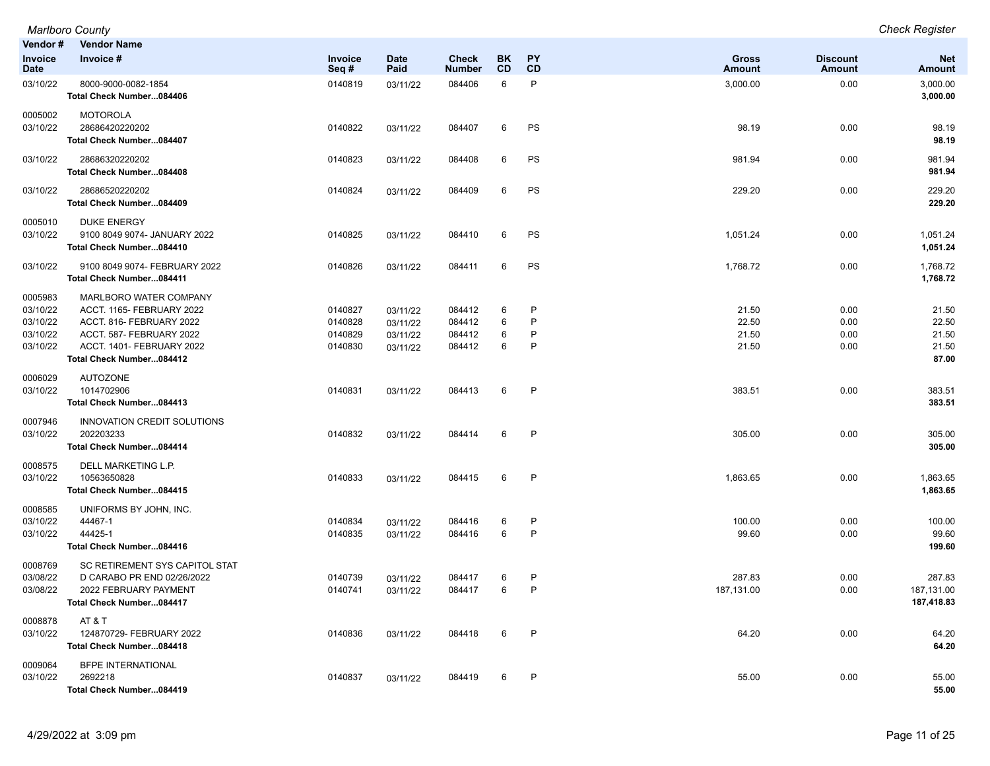| <b>Marlboro County</b> | <b>Check Register</b> |
|------------------------|-----------------------|
| Vander # Vander Name   |                       |

| venuor #<br>Invoice<br><b>Date</b>                      | vendor Name<br>Invoice #                                                                                                                                             | Invoice<br>Seq#                          | <b>Date</b><br>Paid                          | <b>Check</b><br><b>Number</b>        | BK.<br>CD        | PY<br><b>CD</b>                        | <b>Gross</b><br><b>Amount</b>    | <b>Discount</b><br>Amount    | <b>Net</b><br>Amount                      |
|---------------------------------------------------------|----------------------------------------------------------------------------------------------------------------------------------------------------------------------|------------------------------------------|----------------------------------------------|--------------------------------------|------------------|----------------------------------------|----------------------------------|------------------------------|-------------------------------------------|
| 03/10/22                                                | 8000-9000-0082-1854<br>Total Check Number084406                                                                                                                      | 0140819                                  | 03/11/22                                     | 084406                               | 6                | P                                      | 3,000.00                         | 0.00                         | 3,000.00<br>3,000.00                      |
| 0005002<br>03/10/22                                     | <b>MOTOROLA</b><br>28686420220202<br>Total Check Number084407                                                                                                        | 0140822                                  | 03/11/22                                     | 084407                               | 6                | <b>PS</b>                              | 98.19                            | 0.00                         | 98.19<br>98.19                            |
| 03/10/22                                                | 28686320220202<br>Total Check Number084408                                                                                                                           | 0140823                                  | 03/11/22                                     | 084408                               | 6                | <b>PS</b>                              | 981.94                           | 0.00                         | 981.94<br>981.94                          |
| 03/10/22                                                | 28686520220202<br>Total Check Number084409                                                                                                                           | 0140824                                  | 03/11/22                                     | 084409                               | 6                | <b>PS</b>                              | 229.20                           | 0.00                         | 229.20<br>229.20                          |
| 0005010<br>03/10/22                                     | <b>DUKE ENERGY</b><br>9100 8049 9074- JANUARY 2022<br>Total Check Number084410                                                                                       | 0140825                                  | 03/11/22                                     | 084410                               | 6                | PS                                     | 1,051.24                         | 0.00                         | 1,051.24<br>1,051.24                      |
| 03/10/22                                                | 9100 8049 9074- FEBRUARY 2022<br>Total Check Number084411                                                                                                            | 0140826                                  | 03/11/22                                     | 084411                               | 6                | <b>PS</b>                              | 1,768.72                         | 0.00                         | 1,768.72<br>1,768.72                      |
| 0005983<br>03/10/22<br>03/10/22<br>03/10/22<br>03/10/22 | MARLBORO WATER COMPANY<br>ACCT. 1165- FEBRUARY 2022<br>ACCT. 816- FEBRUARY 2022<br>ACCT. 587- FEBRUARY 2022<br>ACCT. 1401- FEBRUARY 2022<br>Total Check Number084412 | 0140827<br>0140828<br>0140829<br>0140830 | 03/11/22<br>03/11/22<br>03/11/22<br>03/11/22 | 084412<br>084412<br>084412<br>084412 | 6<br>6<br>6<br>6 | $\mathsf{P}$<br>P<br>$\mathsf{P}$<br>P | 21.50<br>22.50<br>21.50<br>21.50 | 0.00<br>0.00<br>0.00<br>0.00 | 21.50<br>22.50<br>21.50<br>21.50<br>87.00 |
| 0006029<br>03/10/22                                     | <b>AUTOZONE</b><br>1014702906<br>Total Check Number084413                                                                                                            | 0140831                                  | 03/11/22                                     | 084413                               | 6                | $\mathsf{P}$                           | 383.51                           | 0.00                         | 383.51<br>383.51                          |
| 0007946<br>03/10/22                                     | INNOVATION CREDIT SOLUTIONS<br>202203233<br>Total Check Number084414                                                                                                 | 0140832                                  | 03/11/22                                     | 084414                               | 6                | P                                      | 305.00                           | 0.00                         | 305.00<br>305.00                          |
| 0008575<br>03/10/22                                     | DELL MARKETING L.P.<br>10563650828<br>Total Check Number084415                                                                                                       | 0140833                                  | 03/11/22                                     | 084415                               | 6                | $\mathsf{P}$                           | 1,863.65                         | 0.00                         | 1,863.65<br>1,863.65                      |
| 0008585<br>03/10/22<br>03/10/22                         | UNIFORMS BY JOHN, INC.<br>44467-1<br>44425-1<br>Total Check Number084416                                                                                             | 0140834<br>0140835                       | 03/11/22<br>03/11/22                         | 084416<br>084416                     | 6<br>6           | $\mathsf{P}$<br>P                      | 100.00<br>99.60                  | 0.00<br>0.00                 | 100.00<br>99.60<br>199.60                 |
| 0008769<br>03/08/22<br>03/08/22                         | SC RETIREMENT SYS CAPITOL STAT<br>D CARABO PR END 02/26/2022<br>2022 FEBRUARY PAYMENT<br>Total Check Number084417                                                    | 0140739<br>0140741                       | 03/11/22<br>03/11/22                         | 084417<br>084417                     | 6<br>6           | $\mathsf{P}$<br>P                      | 287.83<br>187,131.00             | 0.00<br>0.00                 | 287.83<br>187,131.00<br>187,418.83        |
| 0008878<br>03/10/22                                     | AT&T<br>124870729- FEBRUARY 2022<br>Total Check Number084418                                                                                                         | 0140836                                  | 03/11/22                                     | 084418                               | 6                | $\mathsf{P}$                           | 64.20                            | 0.00                         | 64.20<br>64.20                            |
| 0009064<br>03/10/22                                     | <b>BFPE INTERNATIONAL</b><br>2692218<br>Total Check Number084419                                                                                                     | 0140837                                  | 03/11/22                                     | 084419                               | 6                | $\mathsf{P}$                           | 55.00                            | 0.00                         | 55.00<br>55.00                            |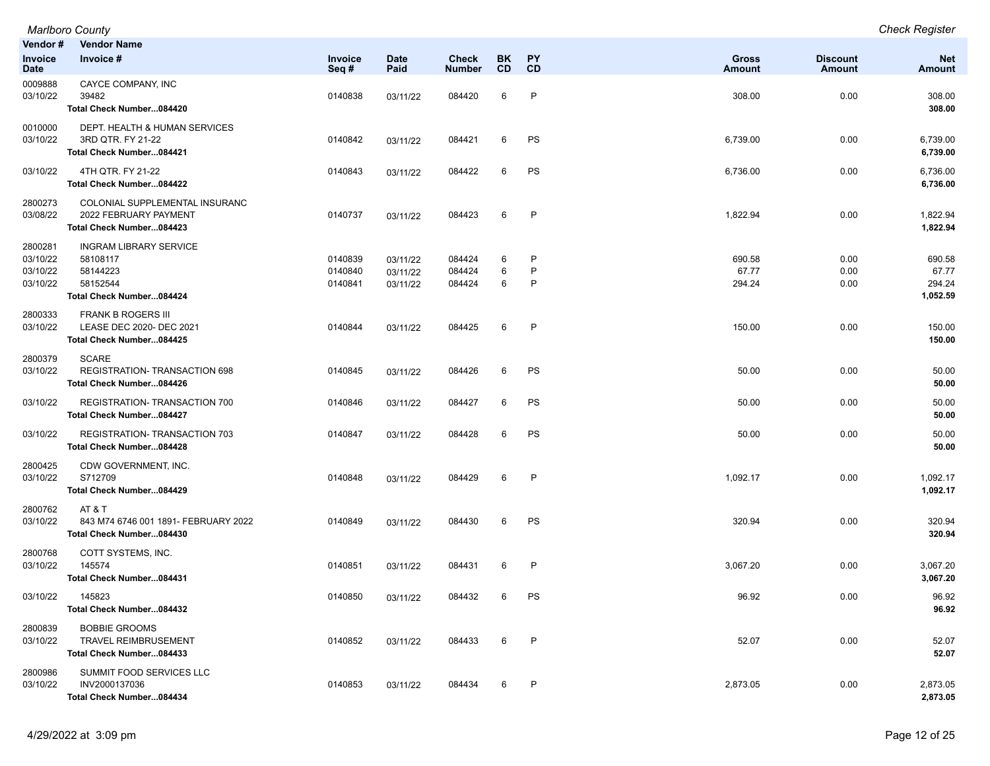| Vendor#<br>Invoice<br><b>Date</b>           | <b>Vendor Name</b><br>Invoice #                                                               | Invoice<br>Seq#               | Date<br>Paid                     | <b>Check</b><br><b>Number</b> | BK<br>CD    | PΥ<br>CD    | <b>Gross</b><br>Amount    | <b>Discount</b><br><b>Amount</b> | <b>Net</b><br>Amount                  |
|---------------------------------------------|-----------------------------------------------------------------------------------------------|-------------------------------|----------------------------------|-------------------------------|-------------|-------------|---------------------------|----------------------------------|---------------------------------------|
| 0009888<br>03/10/22                         | CAYCE COMPANY, INC<br>39482<br>Total Check Number084420                                       | 0140838                       | 03/11/22                         | 084420                        | 6           | P           | 308.00                    | 0.00                             | 308.00<br>308.00                      |
| 0010000<br>03/10/22                         | DEPT. HEALTH & HUMAN SERVICES<br>3RD QTR. FY 21-22<br>Total Check Number084421                | 0140842                       | 03/11/22                         | 084421                        | 6           | PS          | 6,739.00                  | 0.00                             | 6,739.00<br>6,739.00                  |
| 03/10/22                                    | 4TH QTR. FY 21-22<br>Total Check Number084422                                                 | 0140843                       | 03/11/22                         | 084422                        | 6           | PS          | 6,736.00                  | 0.00                             | 6,736.00<br>6,736.00                  |
| 2800273<br>03/08/22                         | COLONIAL SUPPLEMENTAL INSURANC<br>2022 FEBRUARY PAYMENT<br>Total Check Number084423           | 0140737                       | 03/11/22                         | 084423                        | 6           | P           | 1,822.94                  | 0.00                             | 1,822.94<br>1,822.94                  |
| 2800281<br>03/10/22<br>03/10/22<br>03/10/22 | <b>INGRAM LIBRARY SERVICE</b><br>58108117<br>58144223<br>58152544<br>Total Check Number084424 | 0140839<br>0140840<br>0140841 | 03/11/22<br>03/11/22<br>03/11/22 | 084424<br>084424<br>084424    | 6<br>6<br>6 | P<br>P<br>P | 690.58<br>67.77<br>294.24 | 0.00<br>0.00<br>0.00             | 690.58<br>67.77<br>294.24<br>1,052.59 |
| 2800333<br>03/10/22                         | <b>FRANK B ROGERS III</b><br>LEASE DEC 2020- DEC 2021<br>Total Check Number084425             | 0140844                       | 03/11/22                         | 084425                        | 6           | P           | 150.00                    | 0.00                             | 150.00<br>150.00                      |
| 2800379<br>03/10/22                         | <b>SCARE</b><br><b>REGISTRATION-TRANSACTION 698</b><br>Total Check Number084426               | 0140845                       | 03/11/22                         | 084426                        | 6           | PS          | 50.00                     | 0.00                             | 50.00<br>50.00                        |
| 03/10/22                                    | REGISTRATION-TRANSACTION 700<br>Total Check Number084427                                      | 0140846                       | 03/11/22                         | 084427                        | 6           | PS          | 50.00                     | 0.00                             | 50.00<br>50.00                        |
| 03/10/22                                    | <b>REGISTRATION- TRANSACTION 703</b><br>Total Check Number084428                              | 0140847                       | 03/11/22                         | 084428                        | 6           | PS          | 50.00                     | 0.00                             | 50.00<br>50.00                        |
| 2800425<br>03/10/22                         | CDW GOVERNMENT, INC.<br>S712709<br>Total Check Number084429                                   | 0140848                       | 03/11/22                         | 084429                        | 6           | P           | 1,092.17                  | 0.00                             | 1,092.17<br>1,092.17                  |
| 2800762<br>03/10/22                         | AT&T<br>843 M74 6746 001 1891- FEBRUARY 2022<br>Total Check Number084430                      | 0140849                       | 03/11/22                         | 084430                        | 6           | PS          | 320.94                    | 0.00                             | 320.94<br>320.94                      |
| 2800768<br>03/10/22                         | COTT SYSTEMS, INC.<br>145574<br>Total Check Number084431                                      | 0140851                       | 03/11/22                         | 084431                        | 6           | P           | 3,067.20                  | 0.00                             | 3,067.20<br>3,067.20                  |
| 03/10/22                                    | 145823<br>Total Check Number084432                                                            | 0140850                       | 03/11/22                         | 084432                        | 6           | PS          | 96.92                     | 0.00                             | 96.92<br>96.92                        |
| 2800839<br>03/10/22                         | <b>BOBBIE GROOMS</b><br><b>TRAVEL REIMBRUSEMENT</b><br>Total Check Number084433               | 0140852                       | 03/11/22                         | 084433                        | 6           | P           | 52.07                     | 0.00                             | 52.07<br>52.07                        |
| 2800986<br>03/10/22                         | SUMMIT FOOD SERVICES LLC<br>INV2000137036<br>Total Check Number084434                         | 0140853                       | 03/11/22                         | 084434                        | 6           | P           | 2,873.05                  | 0.00                             | 2,873.05<br>2,873.05                  |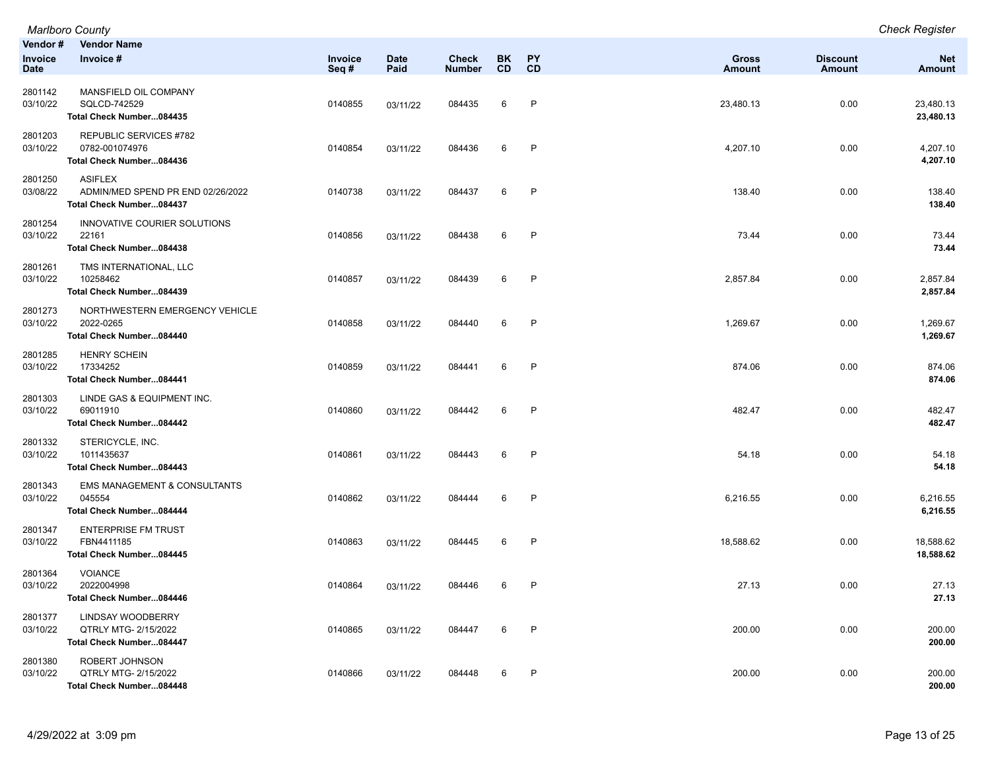|                                   | Marlboro County                                                                 |                 |                     |                               |                 |                 |                        |                           | <b>Check Register</b>  |
|-----------------------------------|---------------------------------------------------------------------------------|-----------------|---------------------|-------------------------------|-----------------|-----------------|------------------------|---------------------------|------------------------|
| Vendor#<br>Invoice<br><b>Date</b> | <b>Vendor Name</b><br>Invoice #                                                 | Invoice<br>Seq# | <b>Date</b><br>Paid | <b>Check</b><br><b>Number</b> | BK<br><b>CD</b> | PY<br><b>CD</b> | Gross<br><b>Amount</b> | <b>Discount</b><br>Amount | <b>Net</b><br>Amount   |
| 2801142<br>03/10/22               | MANSFIELD OIL COMPANY<br>SQLCD-742529<br>Total Check Number084435               | 0140855         | 03/11/22            | 084435                        | 6               | P               | 23,480.13              | 0.00                      | 23,480.13<br>23,480.13 |
| 2801203<br>03/10/22               | REPUBLIC SERVICES #782<br>0782-001074976<br>Total Check Number084436            | 0140854         | 03/11/22            | 084436                        | 6               | P               | 4,207.10               | 0.00                      | 4,207.10<br>4,207.10   |
| 2801250<br>03/08/22               | <b>ASIFLEX</b><br>ADMIN/MED SPEND PR END 02/26/2022<br>Total Check Number084437 | 0140738         | 03/11/22            | 084437                        | 6               | P               | 138.40                 | 0.00                      | 138.40<br>138.40       |
| 2801254<br>03/10/22               | INNOVATIVE COURIER SOLUTIONS<br>22161<br>Total Check Number084438               | 0140856         | 03/11/22            | 084438                        | 6               | P               | 73.44                  | 0.00                      | 73.44<br>73.44         |
| 2801261<br>03/10/22               | TMS INTERNATIONAL, LLC<br>10258462<br>Total Check Number084439                  | 0140857         | 03/11/22            | 084439                        | 6               | $\mathsf{P}$    | 2,857.84               | 0.00                      | 2,857.84<br>2,857.84   |
| 2801273<br>03/10/22               | NORTHWESTERN EMERGENCY VEHICLE<br>2022-0265<br>Total Check Number084440         | 0140858         | 03/11/22            | 084440                        | 6               | P               | 1,269.67               | 0.00                      | 1,269.67<br>1,269.67   |
| 2801285<br>03/10/22               | <b>HENRY SCHEIN</b><br>17334252<br>Total Check Number084441                     | 0140859         | 03/11/22            | 084441                        | 6               | P               | 874.06                 | 0.00                      | 874.06<br>874.06       |
| 2801303<br>03/10/22               | LINDE GAS & EQUIPMENT INC.<br>69011910<br>Total Check Number084442              | 0140860         | 03/11/22            | 084442                        | 6               | $\mathsf{P}$    | 482.47                 | 0.00                      | 482.47<br>482.47       |
| 2801332<br>03/10/22               | STERICYCLE, INC.<br>1011435637<br>Total Check Number084443                      | 0140861         | 03/11/22            | 084443                        | 6               | P               | 54.18                  | 0.00                      | 54.18<br>54.18         |
| 2801343<br>03/10/22               | <b>EMS MANAGEMENT &amp; CONSULTANTS</b><br>045554<br>Total Check Number084444   | 0140862         | 03/11/22            | 084444                        | 6               | P               | 6,216.55               | 0.00                      | 6,216.55<br>6,216.55   |
| 2801347<br>03/10/22               | <b>ENTERPRISE FM TRUST</b><br>FBN4411185<br>Total Check Number084445            | 0140863         | 03/11/22            | 084445                        | 6               | $\mathsf{P}$    | 18,588.62              | 0.00                      | 18,588.62<br>18,588.62 |
| 2801364<br>03/10/22               | <b>VOIANCE</b><br>2022004998<br>Total Check Number084446                        | 0140864         | 03/11/22            | 084446                        | 6               | $\mathsf{P}$    | 27.13                  | 0.00                      | 27.13<br>27.13         |
| 2801377<br>03/10/22               | LINDSAY WOODBERRY<br>QTRLY MTG- 2/15/2022<br>Total Check Number084447           | 0140865         | 03/11/22            | 084447                        | 6               | P               | 200.00                 | 0.00                      | 200.00<br>200.00       |
| 2801380<br>03/10/22               | ROBERT JOHNSON<br>QTRLY MTG- 2/15/2022<br>Total Check Number084448              | 0140866         | 03/11/22            | 084448                        | 6               | P               | 200.00                 | 0.00                      | 200.00<br>200.00       |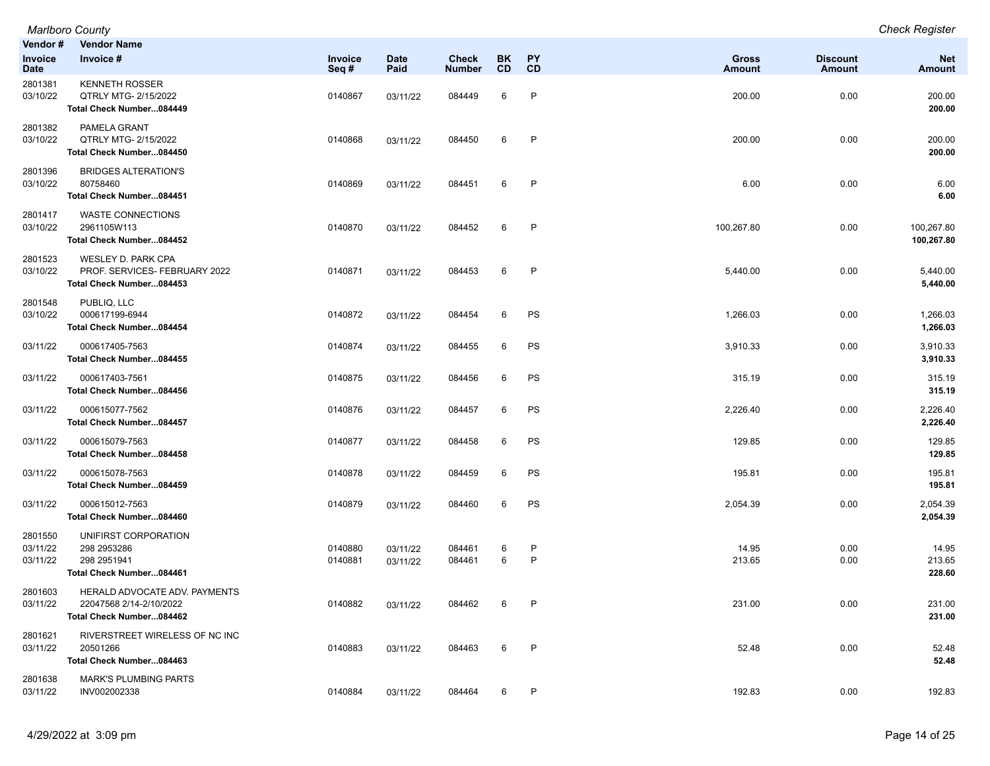| Vendor #                        | Vendor Name                                                                            |                    |                      |                               |          |              |                        |                                  |                             |
|---------------------------------|----------------------------------------------------------------------------------------|--------------------|----------------------|-------------------------------|----------|--------------|------------------------|----------------------------------|-----------------------------|
| <b>Invoice</b><br><b>Date</b>   | Invoice #                                                                              | Invoice<br>Seq#    | <b>Date</b><br>Paid  | <b>Check</b><br><b>Number</b> | BK<br>CD | PY<br>CD     | <b>Gross</b><br>Amount | <b>Discount</b><br><b>Amount</b> | <b>Net</b><br><b>Amount</b> |
| 2801381<br>03/10/22             | <b>KENNETH ROSSER</b><br>QTRLY MTG- 2/15/2022<br>Total Check Number084449              | 0140867            | 03/11/22             | 084449                        | 6        | P            | 200.00                 | 0.00                             | 200.00<br>200.00            |
| 2801382<br>03/10/22             | PAMELA GRANT<br>QTRLY MTG- 2/15/2022<br>Total Check Number084450                       | 0140868            | 03/11/22             | 084450                        | 6        | $\mathsf{P}$ | 200.00                 | 0.00                             | 200.00<br>200.00            |
| 2801396<br>03/10/22             | <b>BRIDGES ALTERATION'S</b><br>80758460<br>Total Check Number084451                    | 0140869            | 03/11/22             | 084451                        | 6        | P            | 6.00                   | 0.00                             | 6.00<br>6.00                |
| 2801417<br>03/10/22             | <b>WASTE CONNECTIONS</b><br>2961105W113<br>Total Check Number084452                    | 0140870            | 03/11/22             | 084452                        | 6        | $\mathsf{P}$ | 100,267.80             | 0.00                             | 100,267.80<br>100,267.80    |
| 2801523<br>03/10/22             | <b>WESLEY D. PARK CPA</b><br>PROF. SERVICES- FEBRUARY 2022<br>Total Check Number084453 | 0140871            | 03/11/22             | 084453                        | 6        | $\mathsf{P}$ | 5,440.00               | 0.00                             | 5,440.00<br>5,440.00        |
| 2801548<br>03/10/22             | PUBLIQ, LLC<br>000617199-6944<br>Total Check Number084454                              | 0140872            | 03/11/22             | 084454                        | 6        | PS           | 1,266.03               | 0.00                             | 1,266.03<br>1,266.03        |
| 03/11/22                        | 000617405-7563<br>Total Check Number084455                                             | 0140874            | 03/11/22             | 084455                        | 6        | PS           | 3,910.33               | 0.00                             | 3,910.33<br>3,910.33        |
| 03/11/22                        | 000617403-7561<br>Total Check Number084456                                             | 0140875            | 03/11/22             | 084456                        | 6        | PS           | 315.19                 | 0.00                             | 315.19<br>315.19            |
| 03/11/22                        | 000615077-7562<br>Total Check Number084457                                             | 0140876            | 03/11/22             | 084457                        | 6        | PS           | 2,226.40               | 0.00                             | 2,226.40<br>2,226.40        |
| 03/11/22                        | 000615079-7563<br>Total Check Number084458                                             | 0140877            | 03/11/22             | 084458                        | 6        | PS           | 129.85                 | 0.00                             | 129.85<br>129.85            |
| 03/11/22                        | 000615078-7563<br>Total Check Number084459                                             | 0140878            | 03/11/22             | 084459                        | 6        | PS           | 195.81                 | 0.00                             | 195.81<br>195.81            |
| 03/11/22                        | 000615012-7563<br>Total Check Number084460                                             | 0140879            | 03/11/22             | 084460                        | 6        | PS           | 2,054.39               | 0.00                             | 2,054.39<br>2,054.39        |
| 2801550<br>03/11/22<br>03/11/22 | UNIFIRST CORPORATION<br>298 2953286<br>298 2951941<br>Total Check Number084461         | 0140880<br>0140881 | 03/11/22<br>03/11/22 | 084461<br>084461              | 6<br>6   | P<br>P       | 14.95<br>213.65        | 0.00<br>0.00                     | 14.95<br>213.65<br>228.60   |
| 2801603<br>03/11/22             | HERALD ADVOCATE ADV. PAYMENTS<br>22047568 2/14-2/10/2022<br>Total Check Number084462   | 0140882            | 03/11/22             | 084462                        | 6        |              | 231.00                 | 0.00                             | 231.00<br>231.00            |
| 2801621<br>03/11/22             | RIVERSTREET WIRELESS OF NC INC<br>20501266<br>Total Check Number084463                 | 0140883            | 03/11/22             | 084463                        | 6        | $\mathsf{P}$ | 52.48                  | 0.00                             | 52.48<br>52.48              |
| 2801638<br>03/11/22             | <b>MARK'S PLUMBING PARTS</b><br>INV002002338                                           | 0140884            | 03/11/22             | 084464                        | 6        | $\mathsf{P}$ | 192.83                 | 0.00                             | 192.83                      |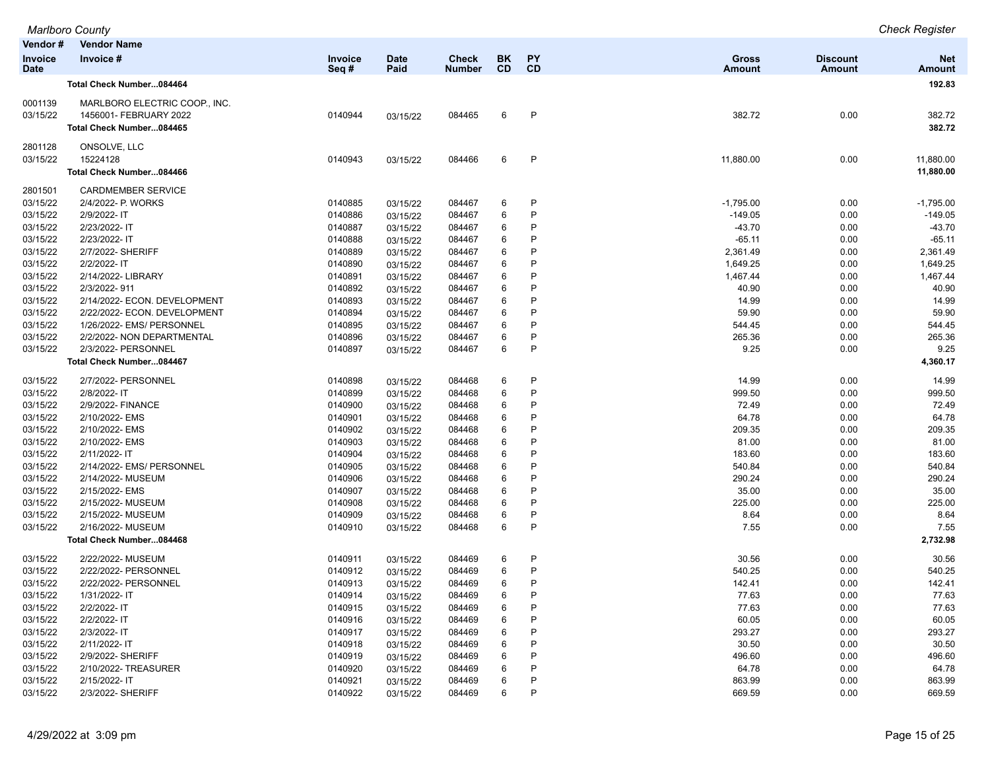|                      | <b>Marlboro County</b>                        |         |             |               |           |           |               |                 | <b>Check Register</b> |
|----------------------|-----------------------------------------------|---------|-------------|---------------|-----------|-----------|---------------|-----------------|-----------------------|
| Vendor#              | <b>Vendor Name</b>                            |         |             |               |           |           |               |                 |                       |
| <b>Invoice</b>       | Invoice #                                     | Invoice | <b>Date</b> | <b>Check</b>  | <b>BK</b> | PY        | <b>Gross</b>  | <b>Discount</b> | <b>Net</b>            |
| <b>Date</b>          |                                               | Seq#    | Paid        | <b>Number</b> | <b>CD</b> | <b>CD</b> | <b>Amount</b> | Amount          | <b>Amount</b>         |
|                      | Total Check Number084464                      |         |             |               |           |           |               |                 | 192.83                |
| 0001139              | MARLBORO ELECTRIC COOP., INC.                 |         |             |               |           |           |               |                 |                       |
| 03/15/22             | 1456001- FEBRUARY 2022                        | 0140944 | 03/15/22    | 084465        | 6         | P         | 382.72        | 0.00            | 382.72                |
|                      | Total Check Number084465                      |         |             |               |           |           |               |                 | 382.72                |
| 2801128              | ONSOLVE, LLC                                  |         |             |               |           |           |               |                 |                       |
| 03/15/22             | 15224128                                      | 0140943 | 03/15/22    | 084466        | 6         | P         | 11,880.00     | 0.00            | 11,880.00             |
|                      | Total Check Number084466                      |         |             |               |           |           |               |                 | 11,880.00             |
| 2801501              | <b>CARDMEMBER SERVICE</b>                     |         |             |               |           |           |               |                 |                       |
| 03/15/22             | 2/4/2022- P. WORKS                            | 0140885 | 03/15/22    | 084467        | 6         | P         | $-1,795.00$   | 0.00            | $-1,795.00$           |
| 03/15/22             | 2/9/2022- IT                                  | 0140886 | 03/15/22    | 084467        | 6         | P         | $-149.05$     | 0.00            | $-149.05$             |
| 03/15/22             | 2/23/2022- IT                                 | 0140887 | 03/15/22    | 084467        | 6         | P         | $-43.70$      | 0.00            | $-43.70$              |
| 03/15/22             | 2/23/2022-IT                                  | 0140888 | 03/15/22    | 084467        | 6         | P         | $-65.11$      | 0.00            | $-65.11$              |
| 03/15/22             | 2/7/2022- SHERIFF                             | 0140889 | 03/15/22    | 084467        | 6         | P         | 2,361.49      | 0.00            | 2,361.49              |
| 03/15/22             | 2/2/2022- IT                                  | 0140890 | 03/15/22    | 084467        | 6         | P         | 1,649.25      | 0.00            | 1,649.25              |
| 03/15/22             | 2/14/2022- LIBRARY                            | 0140891 | 03/15/22    | 084467        | 6         | P         | 1,467.44      | 0.00            | 1,467.44              |
| 03/15/22             | 2/3/2022-911                                  | 0140892 | 03/15/22    | 084467        | 6         | P         | 40.90         | 0.00            | 40.90                 |
| 03/15/22             | 2/14/2022- ECON. DEVELOPMENT                  | 0140893 | 03/15/22    | 084467        | 6         | P         | 14.99         | 0.00            | 14.99                 |
| 03/15/22             | 2/22/2022- ECON. DEVELOPMENT                  | 0140894 | 03/15/22    | 084467        | 6         | P         | 59.90         | 0.00            | 59.90                 |
| 03/15/22             | 1/26/2022- EMS/ PERSONNEL                     | 0140895 | 03/15/22    | 084467        | 6         | P         | 544.45        | 0.00            | 544.45                |
| 03/15/22             | 2/2/2022- NON DEPARTMENTAL                    | 0140896 | 03/15/22    | 084467        | 6         | P         | 265.36        | 0.00            | 265.36                |
| 03/15/22             | 2/3/2022- PERSONNEL                           | 0140897 | 03/15/22    | 084467        | 6         | P         | 9.25          | 0.00            | 9.25                  |
|                      | Total Check Number084467                      |         |             |               |           |           |               |                 | 4,360.17              |
| 03/15/22             | 2/7/2022- PERSONNEL                           | 0140898 |             | 084468        | 6         | P         | 14.99         | 0.00            | 14.99                 |
| 03/15/22             | 2/8/2022- IT                                  | 0140899 | 03/15/22    | 084468        | 6         | P         | 999.50        | 0.00            | 999.50                |
| 03/15/22             | 2/9/2022- FINANCE                             | 0140900 | 03/15/22    |               | 6         | P         | 72.49         | 0.00            | 72.49                 |
|                      |                                               | 0140901 | 03/15/22    | 084468        | 6         | P         | 64.78         |                 | 64.78                 |
| 03/15/22<br>03/15/22 | 2/10/2022- EMS                                |         | 03/15/22    | 084468        |           | P         |               | 0.00            | 209.35                |
|                      | 2/10/2022- EMS                                | 0140902 | 03/15/22    | 084468        | 6         | P         | 209.35        | 0.00            |                       |
| 03/15/22             | 2/10/2022- EMS                                | 0140903 | 03/15/22    | 084468        | 6         | P         | 81.00         | 0.00            | 81.00                 |
| 03/15/22             | 2/11/2022- IT                                 | 0140904 | 03/15/22    | 084468        | 6         | P         | 183.60        | 0.00            | 183.60                |
| 03/15/22             | 2/14/2022- EMS/ PERSONNEL                     | 0140905 | 03/15/22    | 084468        | 6         |           | 540.84        | 0.00            | 540.84                |
| 03/15/22             | 2/14/2022- MUSEUM                             | 0140906 | 03/15/22    | 084468        | 6         | P         | 290.24        | 0.00            | 290.24                |
| 03/15/22             | 2/15/2022- EMS                                | 0140907 | 03/15/22    | 084468        | 6         | P         | 35.00         | 0.00            | 35.00                 |
| 03/15/22             | 2/15/2022- MUSEUM                             | 0140908 | 03/15/22    | 084468        | 6         | P         | 225.00        | 0.00            | 225.00                |
| 03/15/22             | 2/15/2022- MUSEUM                             | 0140909 | 03/15/22    | 084468        | 6         | P         | 8.64          | 0.00            | 8.64                  |
| 03/15/22             | 2/16/2022- MUSEUM<br>Total Check Number084468 | 0140910 | 03/15/22    | 084468        | 6         | P         | 7.55          | 0.00            | 7.55<br>2,732.98      |
|                      |                                               |         |             |               |           |           |               |                 |                       |
| 03/15/22             | 2/22/2022- MUSEUM                             | 0140911 | 03/15/22    | 084469        | 6         | P         | 30.56         | 0.00            | 30.56                 |
| 03/15/22             | 2/22/2022- PERSONNEL                          | 0140912 | 03/15/22    | 084469        | 6         | P         | 540.25        | 0.00            | 540.25                |
| 03/15/22             | 2/22/2022- PERSONNEL                          | 0140913 | 03/15/22    | 084469        | 6         | P         | 142.41        | 0.00            | 142.41                |
| 03/15/22             | 1/31/2022- IT                                 | 0140914 | 03/15/22    | 084469        | 6         | P         | 77.63         | 0.00            | 77.63                 |
| 03/15/22             | 2/2/2022- IT                                  | 0140915 | 03/15/22    | 084469        | 6         | P         | 77.63         | 0.00            | 77.63                 |
| 03/15/22             | 2/2/2022- IT                                  | 0140916 | 03/15/22    | 084469        | 6         | P         | 60.05         | 0.00            | 60.05                 |
| 03/15/22             | 2/3/2022- IT                                  | 0140917 | 03/15/22    | 084469        | 6         | P         | 293.27        | 0.00            | 293.27                |
| 03/15/22             | 2/11/2022-IT                                  | 0140918 | 03/15/22    | 084469        | 6         | P         | 30.50         | 0.00            | 30.50                 |
| 03/15/22             | 2/9/2022- SHERIFF                             | 0140919 | 03/15/22    | 084469        | 6         | P         | 496.60        | 0.00            | 496.60                |
| 03/15/22             | 2/10/2022- TREASURER                          | 0140920 | 03/15/22    | 084469        | 6         |           | 64.78         | 0.00            | 64.78                 |
| 03/15/22             | 2/15/2022-IT                                  | 0140921 | 03/15/22    | 084469        | 6         | P         | 863.99        | 0.00            | 863.99                |
| 03/15/22             | 2/3/2022- SHERIFF                             | 0140922 | 03/15/22    | 084469        | 6         | P         | 669.59        | 0.00            | 669.59                |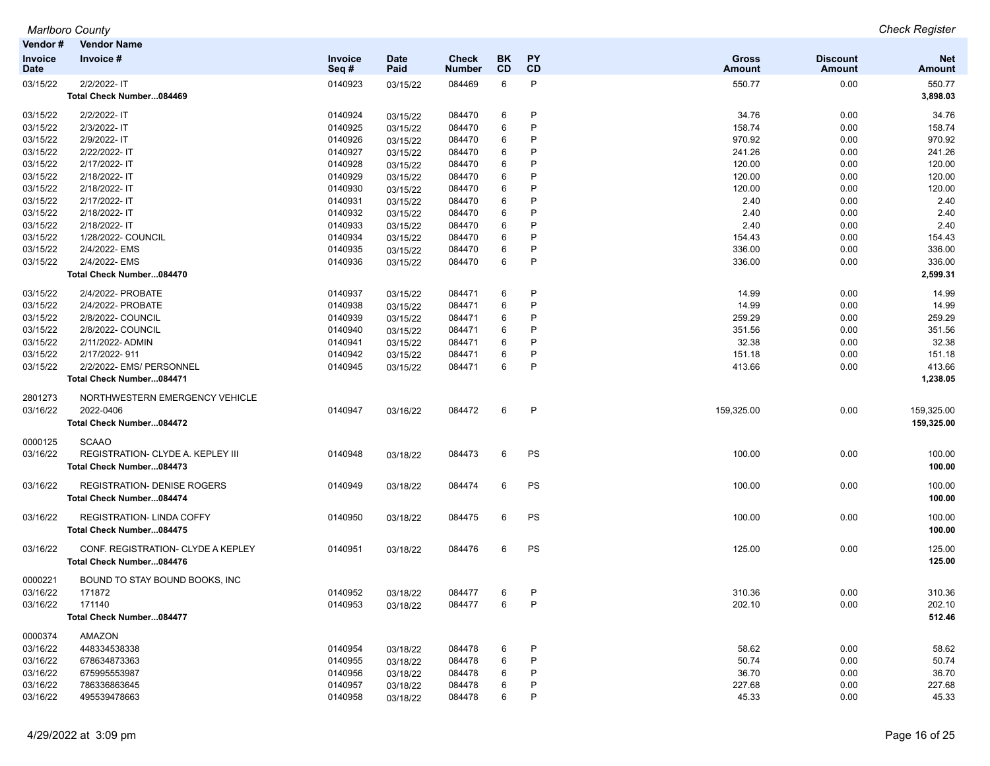| Vendor#                | Vendor Name                                                                   |                 |                     |                               |                 |                 |                               |                                  |                          |
|------------------------|-------------------------------------------------------------------------------|-----------------|---------------------|-------------------------------|-----------------|-----------------|-------------------------------|----------------------------------|--------------------------|
| Invoice<br><b>Date</b> | Invoice #                                                                     | Invoice<br>Seq# | <b>Date</b><br>Paid | <b>Check</b><br><b>Number</b> | BK<br><b>CD</b> | <b>PY</b><br>CD | <b>Gross</b><br><b>Amount</b> | <b>Discount</b><br><b>Amount</b> | <b>Net</b><br>Amount     |
| 03/15/22               | 2/2/2022- IT<br>Total Check Number084469                                      | 0140923         | 03/15/22            | 084469                        | 6               | P               | 550.77                        | 0.00                             | 550.77<br>3,898.03       |
| 03/15/22               | 2/2/2022- IT                                                                  | 0140924         | 03/15/22            | 084470                        | 6               | P               | 34.76                         | 0.00                             | 34.76                    |
| 03/15/22               | 2/3/2022-IT                                                                   | 0140925         | 03/15/22            | 084470                        | 6               | P               | 158.74                        | 0.00                             | 158.74                   |
| 03/15/22               | 2/9/2022- IT                                                                  | 0140926         | 03/15/22            | 084470                        | 6               | P               | 970.92                        | 0.00                             | 970.92                   |
| 03/15/22               | 2/22/2022-IT                                                                  | 0140927         | 03/15/22            | 084470                        | 6               | P               | 241.26                        | 0.00                             | 241.26                   |
| 03/15/22               | 2/17/2022-IT                                                                  | 0140928         | 03/15/22            | 084470                        | 6               | P               | 120.00                        | 0.00                             | 120.00                   |
| 03/15/22               | 2/18/2022-IT                                                                  | 0140929         | 03/15/22            | 084470                        | 6               | P               | 120.00                        | 0.00                             | 120.00                   |
| 03/15/22               | 2/18/2022-IT                                                                  | 0140930         | 03/15/22            | 084470                        | 6               | P               | 120.00                        | 0.00                             | 120.00                   |
| 03/15/22               | 2/17/2022- IT                                                                 | 0140931         | 03/15/22            | 084470                        | 6               | P               | 2.40                          | 0.00                             | 2.40                     |
| 03/15/22               | 2/18/2022-IT                                                                  | 0140932         | 03/15/22            | 084470                        | 6               | P               | 2.40                          | 0.00                             | 2.40                     |
| 03/15/22               | 2/18/2022-IT                                                                  | 0140933         | 03/15/22            | 084470                        | 6               | P               | 2.40                          | 0.00                             | 2.40                     |
| 03/15/22               | 1/28/2022- COUNCIL                                                            | 0140934         | 03/15/22            | 084470                        | 6               | P               | 154.43                        | 0.00                             | 154.43                   |
| 03/15/22               | 2/4/2022- EMS                                                                 | 0140935         | 03/15/22            | 084470                        | 6               | P               | 336.00                        | 0.00                             | 336.00                   |
| 03/15/22               | 2/4/2022- EMS                                                                 | 0140936         | 03/15/22            | 084470                        | 6               | P               | 336.00                        | 0.00                             | 336.00                   |
|                        | Total Check Number084470                                                      |                 |                     |                               |                 |                 |                               |                                  | 2,599.31                 |
| 03/15/22               | 2/4/2022- PROBATE                                                             | 0140937         | 03/15/22            | 084471                        | 6               | P               | 14.99                         | 0.00                             | 14.99                    |
| 03/15/22               | 2/4/2022- PROBATE                                                             | 0140938         | 03/15/22            | 084471                        | 6               | P               | 14.99                         | 0.00                             | 14.99                    |
| 03/15/22               | 2/8/2022- COUNCIL                                                             | 0140939         | 03/15/22            | 084471                        | 6               | P               | 259.29                        | 0.00                             | 259.29                   |
| 03/15/22               | 2/8/2022- COUNCIL                                                             | 0140940         | 03/15/22            | 084471                        | 6               | Р               | 351.56                        | 0.00                             | 351.56                   |
| 03/15/22               | 2/11/2022- ADMIN                                                              | 0140941         | 03/15/22            | 084471                        | 6               | P               | 32.38                         | 0.00                             | 32.38                    |
| 03/15/22               | 2/17/2022-911                                                                 | 0140942         | 03/15/22            | 084471                        | 6               | P               | 151.18                        | 0.00                             | 151.18                   |
| 03/15/22               | 2/2/2022- EMS/ PERSONNEL<br>Total Check Number084471                          | 0140945         | 03/15/22            | 084471                        | 6               | P               | 413.66                        | 0.00                             | 413.66<br>1,238.05       |
| 2801273<br>03/16/22    | NORTHWESTERN EMERGENCY VEHICLE<br>2022-0406<br>Total Check Number084472       | 0140947         | 03/16/22            | 084472                        | 6               | P               | 159,325.00                    | 0.00                             | 159,325.00<br>159,325.00 |
| 0000125<br>03/16/22    | <b>SCAAO</b><br>REGISTRATION- CLYDE A. KEPLEY III<br>Total Check Number084473 | 0140948         | 03/18/22            | 084473                        | 6               | PS              | 100.00                        | 0.00                             | 100.00<br>100.00         |
| 03/16/22               | <b>REGISTRATION- DENISE ROGERS</b><br>Total Check Number084474                | 0140949         | 03/18/22            | 084474                        | 6               | PS              | 100.00                        | 0.00                             | 100.00<br>100.00         |
| 03/16/22               | <b>REGISTRATION- LINDA COFFY</b><br>Total Check Number084475                  | 0140950         | 03/18/22            | 084475                        | 6               | PS              | 100.00                        | 0.00                             | 100.00<br>100.00         |
| 03/16/22               | CONF. REGISTRATION- CLYDE A KEPLEY<br>Total Check Number084476                | 0140951         | 03/18/22            | 084476                        | 6               | PS              | 125.00                        | 0.00                             | 125.00<br>125.00         |
| 0000221<br>03/16/22    | BOUND TO STAY BOUND BOOKS, INC<br>171872                                      | 0140952         | 03/18/22            | 084477                        | 6               | P               | 310.36                        | 0.00                             | 310.36                   |
| 03/16/22               | 171140<br>Total Check Number084477                                            | 0140953         | 03/18/22            | 084477                        | 6               | P               | 202.10                        | 0.00                             | 202.10<br>512.46         |
| 0000374                | AMAZON                                                                        |                 |                     |                               |                 |                 |                               |                                  |                          |
| 03/16/22               | 448334538338                                                                  | 0140954         | 03/18/22            | 084478                        | 6               | P               | 58.62                         | 0.00                             | 58.62                    |
| 03/16/22               | 678634873363                                                                  | 0140955         | 03/18/22            | 084478                        | 6               | P               | 50.74                         | 0.00                             | 50.74                    |
| 03/16/22               | 675995553987                                                                  | 0140956         | 03/18/22            | 084478                        | 6               |                 | 36.70                         | 0.00                             | 36.70                    |
| 03/16/22               | 786336863645                                                                  | 0140957         | 03/18/22            | 084478                        | 6               | P               | 227.68                        | 0.00                             | 227.68                   |
| 03/16/22               | 495539478663                                                                  | 0140958         | 03/18/22            | 084478                        | 6               | P               | 45.33                         | 0.00                             | 45.33                    |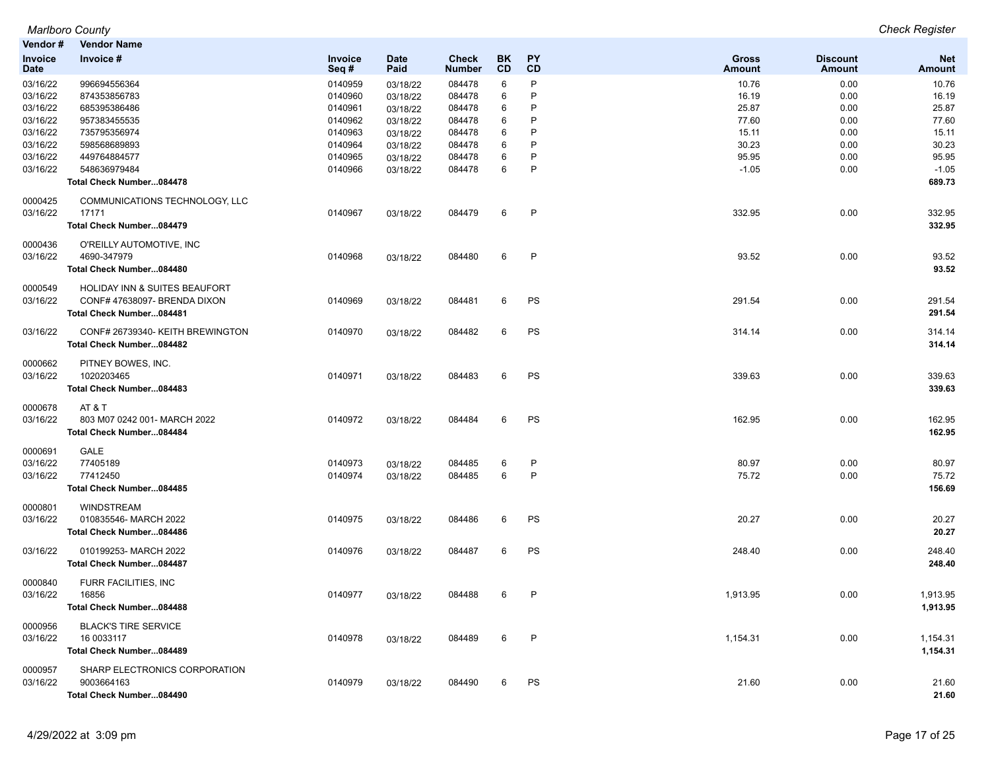| Vendor#                | <b>Vendor Name</b>                       |                 |                     |                               |                        |                 |                        |                           |                      |
|------------------------|------------------------------------------|-----------------|---------------------|-------------------------------|------------------------|-----------------|------------------------|---------------------------|----------------------|
| Invoice<br><b>Date</b> | Invoice #                                | Invoice<br>Seq# | <b>Date</b><br>Paid | <b>Check</b><br><b>Number</b> | <b>BK</b><br><b>CD</b> | <b>PY</b><br>CD | <b>Gross</b><br>Amount | <b>Discount</b><br>Amount | <b>Net</b><br>Amount |
| 03/16/22               | 996694556364                             | 0140959         | 03/18/22            | 084478                        | 6                      | P               | 10.76                  | 0.00                      | 10.76                |
| 03/16/22               | 874353856783                             | 0140960         | 03/18/22            | 084478                        | 6                      | P               | 16.19                  | 0.00                      | 16.19                |
| 03/16/22               | 685395386486                             | 0140961         | 03/18/22            | 084478                        | 6                      | P               | 25.87                  | 0.00                      | 25.87                |
| 03/16/22               | 957383455535                             | 0140962         | 03/18/22            | 084478                        | 6                      | P               | 77.60                  | 0.00                      | 77.60                |
| 03/16/22               | 735795356974                             | 0140963         | 03/18/22            | 084478                        | 6                      | P               | 15.11                  | 0.00                      | 15.11                |
| 03/16/22               | 598568689893                             | 0140964         | 03/18/22            | 084478                        | 6                      | P               | 30.23                  | 0.00                      | 30.23                |
| 03/16/22               | 449764884577                             | 0140965         | 03/18/22            | 084478                        | 6                      | P               | 95.95                  | 0.00                      | 95.95                |
| 03/16/22               | 548636979484                             | 0140966         | 03/18/22            | 084478                        | 6                      | P               | $-1.05$                | 0.00                      | $-1.05$              |
|                        | Total Check Number084478                 |                 |                     |                               |                        |                 |                        |                           | 689.73               |
| 0000425                | COMMUNICATIONS TECHNOLOGY, LLC           |                 |                     |                               |                        |                 |                        |                           |                      |
| 03/16/22               | 17171                                    | 0140967         | 03/18/22            | 084479                        | 6                      | P               | 332.95                 | 0.00                      | 332.95               |
|                        | Total Check Number084479                 |                 |                     |                               |                        |                 |                        |                           | 332.95               |
|                        |                                          |                 |                     |                               |                        |                 |                        |                           |                      |
| 0000436                | O'REILLY AUTOMOTIVE, INC                 |                 |                     |                               |                        |                 |                        |                           |                      |
| 03/16/22               | 4690-347979                              | 0140968         | 03/18/22            | 084480                        | 6                      | P               | 93.52                  | 0.00                      | 93.52                |
|                        | Total Check Number084480                 |                 |                     |                               |                        |                 |                        |                           | 93.52                |
| 0000549                | <b>HOLIDAY INN &amp; SUITES BEAUFORT</b> |                 |                     |                               |                        |                 |                        |                           |                      |
| 03/16/22               | CONF# 47638097- BRENDA DIXON             | 0140969         | 03/18/22            | 084481                        | 6                      | PS              | 291.54                 | 0.00                      | 291.54               |
|                        | Total Check Number084481                 |                 |                     |                               |                        |                 |                        |                           | 291.54               |
|                        |                                          |                 |                     |                               |                        |                 |                        |                           |                      |
| 03/16/22               | CONF# 26739340- KEITH BREWINGTON         | 0140970         | 03/18/22            | 084482                        | 6                      | PS              | 314.14                 | 0.00                      | 314.14               |
|                        | Total Check Number084482                 |                 |                     |                               |                        |                 |                        |                           | 314.14               |
| 0000662                | PITNEY BOWES, INC.                       |                 |                     |                               |                        |                 |                        |                           |                      |
| 03/16/22               | 1020203465                               | 0140971         | 03/18/22            | 084483                        | 6                      | PS              | 339.63                 | 0.00                      | 339.63               |
|                        | Total Check Number084483                 |                 |                     |                               |                        |                 |                        |                           | 339.63               |
|                        |                                          |                 |                     |                               |                        |                 |                        |                           |                      |
| 0000678                | AT&T                                     |                 |                     |                               |                        |                 |                        |                           |                      |
| 03/16/22               | 803 M07 0242 001- MARCH 2022             | 0140972         | 03/18/22            | 084484                        | 6                      | PS              | 162.95                 | 0.00                      | 162.95               |
|                        | Total Check Number084484                 |                 |                     |                               |                        |                 |                        |                           | 162.95               |
| 0000691                | GALE                                     |                 |                     |                               |                        |                 |                        |                           |                      |
| 03/16/22               | 77405189                                 | 0140973         | 03/18/22            | 084485                        | 6                      | P               | 80.97                  | 0.00                      | 80.97                |
| 03/16/22               | 77412450                                 | 0140974         | 03/18/22            | 084485                        | 6                      | $\mathsf{P}$    | 75.72                  | 0.00                      | 75.72                |
|                        | Total Check Number084485                 |                 |                     |                               |                        |                 |                        |                           | 156.69               |
|                        |                                          |                 |                     |                               |                        |                 |                        |                           |                      |
| 0000801                | <b>WINDSTREAM</b>                        |                 |                     |                               |                        |                 |                        |                           |                      |
| 03/16/22               | 010835546-MARCH 2022                     | 0140975         | 03/18/22            | 084486                        | 6                      | PS              | 20.27                  | 0.00                      | 20.27                |
|                        | Total Check Number084486                 |                 |                     |                               |                        |                 |                        |                           | 20.27                |
| 03/16/22               | 010199253-MARCH 2022                     | 0140976         | 03/18/22            | 084487                        | 6                      | PS              | 248.40                 | 0.00                      | 248.40               |
|                        | Total Check Number084487                 |                 |                     |                               |                        |                 |                        |                           | 248.40               |
| 0000840                | FURR FACILITIES, INC                     |                 |                     |                               |                        |                 |                        |                           |                      |
| 03/16/22               | 16856                                    | 0140977         | 03/18/22            | 084488                        | 6                      | P               | 1,913.95               | 0.00                      | 1,913.95             |
|                        | Total Check Number084488                 |                 |                     |                               |                        |                 |                        |                           | 1,913.95             |
|                        |                                          |                 |                     |                               |                        |                 |                        |                           |                      |
| 0000956                | <b>BLACK'S TIRE SERVICE</b>              |                 |                     |                               |                        |                 |                        |                           |                      |
| 03/16/22               | 16 0033117                               | 0140978         | 03/18/22            | 084489                        | 6                      | P               | 1,154.31               | 0.00                      | 1,154.31             |
|                        | Total Check Number084489                 |                 |                     |                               |                        |                 |                        |                           | 1,154.31             |
| 0000957                | SHARP ELECTRONICS CORPORATION            |                 |                     |                               |                        |                 |                        |                           |                      |
| 03/16/22               | 9003664163                               | 0140979         | 03/18/22            | 084490                        | 6                      | PS              | 21.60                  | 0.00                      | 21.60                |
|                        | Total Check Number084490                 |                 |                     |                               |                        |                 |                        |                           | 21.60                |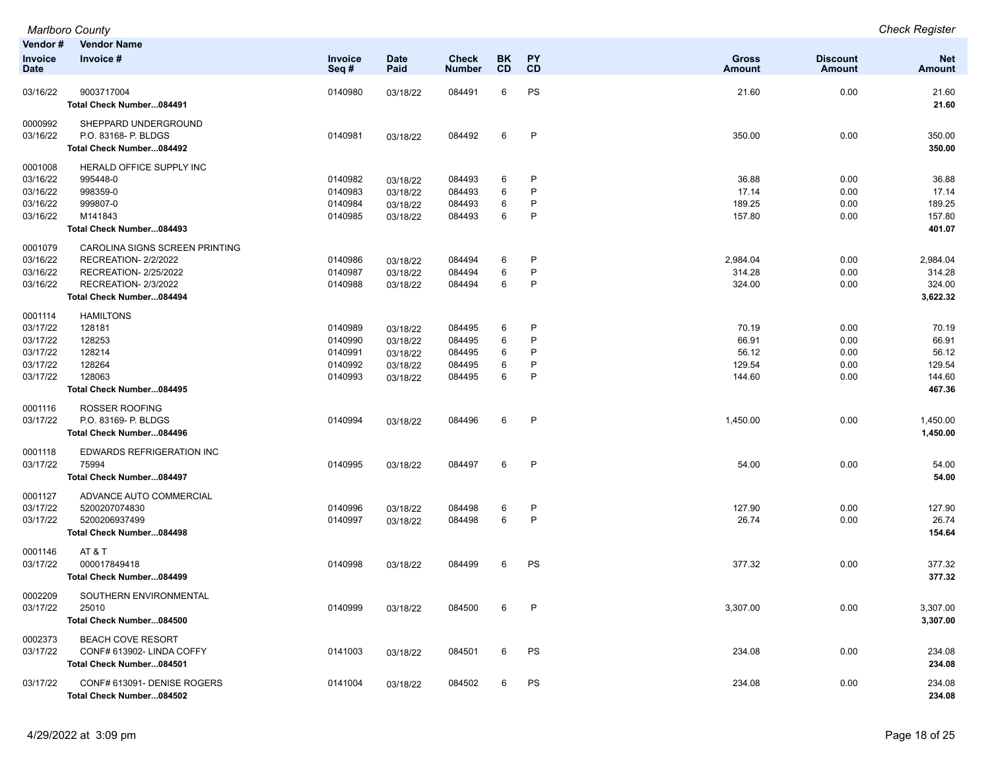| Vendor #<br><b>Invoice</b><br><b>Date</b>                           | <b>Vendor Name</b><br>Invoice #                                                                                                   | Invoice<br>Seq#                                     | <b>Date</b><br>Paid                                      | Check<br><b>Number</b>                         | BK<br><b>CD</b>       | PΥ<br><b>CD</b>                   | <b>Gross</b><br><b>Amount</b>               | <b>Discount</b><br><b>Amount</b>     | <b>Net</b><br><b>Amount</b>                           |
|---------------------------------------------------------------------|-----------------------------------------------------------------------------------------------------------------------------------|-----------------------------------------------------|----------------------------------------------------------|------------------------------------------------|-----------------------|-----------------------------------|---------------------------------------------|--------------------------------------|-------------------------------------------------------|
| 03/16/22                                                            | 9003717004<br>Total Check Number084491                                                                                            | 0140980                                             | 03/18/22                                                 | 084491                                         | 6                     | PS                                | 21.60                                       | 0.00                                 | 21.60<br>21.60                                        |
| 0000992<br>03/16/22                                                 | SHEPPARD UNDERGROUND<br>P.O. 83168- P. BLDGS<br>Total Check Number084492                                                          | 0140981                                             | 03/18/22                                                 | 084492                                         | 6                     | $\mathsf{P}$                      | 350.00                                      | 0.00                                 | 350.00<br>350.00                                      |
| 0001008<br>03/16/22<br>03/16/22<br>03/16/22                         | HERALD OFFICE SUPPLY INC<br>995448-0<br>998359-0<br>999807-0                                                                      | 0140982<br>0140983<br>0140984                       | 03/18/22<br>03/18/22<br>03/18/22                         | 084493<br>084493<br>084493                     | 6<br>6<br>6<br>6      | P<br>P<br>P<br>P                  | 36.88<br>17.14<br>189.25                    | 0.00<br>0.00<br>0.00                 | 36.88<br>17.14<br>189.25                              |
| 03/16/22                                                            | M141843<br>Total Check Number084493                                                                                               | 0140985                                             | 03/18/22                                                 | 084493                                         |                       |                                   | 157.80                                      | 0.00                                 | 157.80<br>401.07                                      |
| 0001079<br>03/16/22<br>03/16/22<br>03/16/22                         | CAROLINA SIGNS SCREEN PRINTING<br>RECREATION-2/2/2022<br>RECREATION- 2/25/2022<br>RECREATION-2/3/2022<br>Total Check Number084494 | 0140986<br>0140987<br>0140988                       | 03/18/22<br>03/18/22<br>03/18/22                         | 084494<br>084494<br>084494                     | 6<br>6<br>6           | $\mathsf{P}$<br>P<br>$\mathsf{P}$ | 2,984.04<br>314.28<br>324.00                | 0.00<br>0.00<br>0.00                 | 2,984.04<br>314.28<br>324.00<br>3,622.32              |
| 0001114<br>03/17/22<br>03/17/22<br>03/17/22<br>03/17/22<br>03/17/22 | <b>HAMILTONS</b><br>128181<br>128253<br>128214<br>128264<br>128063<br>Total Check Number084495                                    | 0140989<br>0140990<br>0140991<br>0140992<br>0140993 | 03/18/22<br>03/18/22<br>03/18/22<br>03/18/22<br>03/18/22 | 084495<br>084495<br>084495<br>084495<br>084495 | 6<br>6<br>6<br>6<br>6 | P<br>P<br>P<br>P<br>P             | 70.19<br>66.91<br>56.12<br>129.54<br>144.60 | 0.00<br>0.00<br>0.00<br>0.00<br>0.00 | 70.19<br>66.91<br>56.12<br>129.54<br>144.60<br>467.36 |
| 0001116<br>03/17/22                                                 | ROSSER ROOFING<br>P.O. 83169- P. BLDGS<br>Total Check Number084496                                                                | 0140994                                             | 03/18/22                                                 | 084496                                         | 6                     | $\mathsf{P}$                      | 1,450.00                                    | 0.00                                 | 1,450.00<br>1,450.00                                  |
| 0001118<br>03/17/22                                                 | EDWARDS REFRIGERATION INC<br>75994<br>Total Check Number084497                                                                    | 0140995                                             | 03/18/22                                                 | 084497                                         | 6                     | $\mathsf{P}$                      | 54.00                                       | 0.00                                 | 54.00<br>54.00                                        |
| 0001127<br>03/17/22<br>03/17/22                                     | ADVANCE AUTO COMMERCIAL<br>5200207074830<br>5200206937499<br>Total Check Number084498                                             | 0140996<br>0140997                                  | 03/18/22<br>03/18/22                                     | 084498<br>084498                               | 6<br>6                | P<br>$\mathsf{P}$                 | 127.90<br>26.74                             | 0.00<br>0.00                         | 127.90<br>26.74<br>154.64                             |
| 0001146<br>03/17/22                                                 | AT & T<br>000017849418<br>Total Check Number084499                                                                                | 0140998                                             | 03/18/22                                                 | 084499                                         | 6                     | PS                                | 377.32                                      | 0.00                                 | 377.32<br>377.32                                      |
| 0002209<br>03/17/22                                                 | SOUTHERN ENVIRONMENTAL<br>25010<br>Total Check Number084500                                                                       | 0140999                                             | 03/18/22                                                 | 084500                                         | 6                     | P                                 | 3,307.00                                    | 0.00                                 | 3,307.00<br>3,307.00                                  |
| 0002373<br>03/17/22                                                 | <b>BEACH COVE RESORT</b><br>CONF# 613902- LINDA COFFY<br>Total Check Number084501                                                 | 0141003                                             | 03/18/22                                                 | 084501                                         | 6                     | PS                                | 234.08                                      | 0.00                                 | 234.08<br>234.08                                      |
| 03/17/22                                                            | CONF# 613091- DENISE ROGERS<br>Total Check Number084502                                                                           | 0141004                                             | 03/18/22                                                 | 084502                                         | 6                     | PS                                | 234.08                                      | 0.00                                 | 234.08<br>234.08                                      |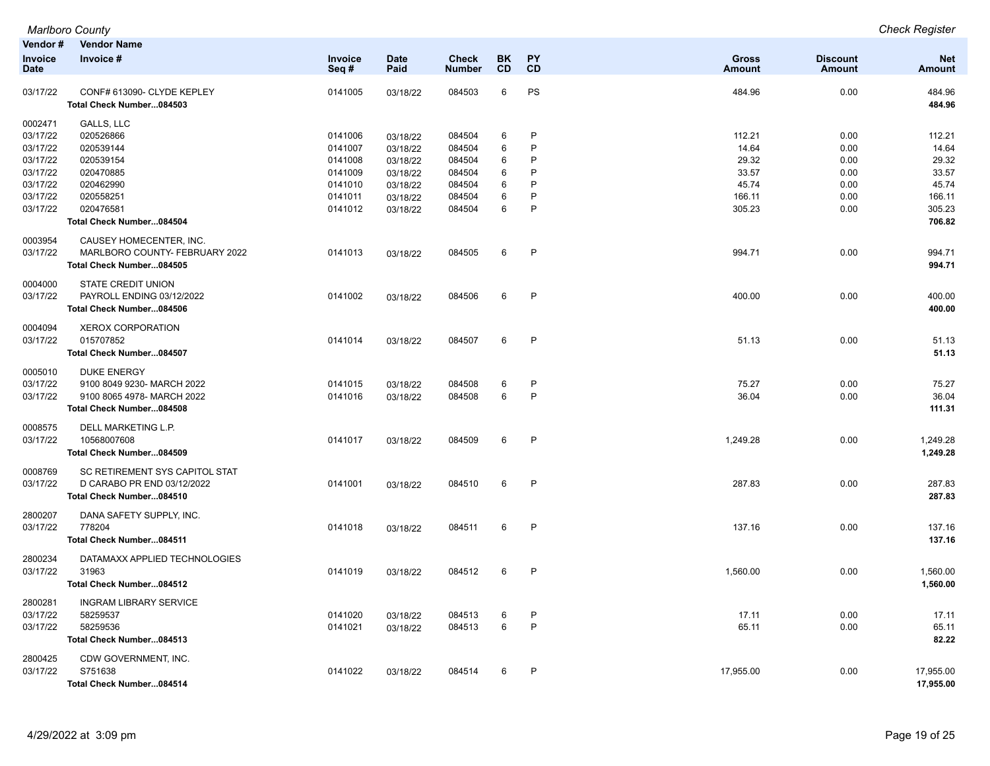| Vendor #<br><b>Invoice</b><br><b>Date</b> | <b>Vendor Name</b><br>Invoice #                        | Invoice<br>Seq# | <b>Date</b><br>Paid | <b>Check</b><br><b>Number</b> | BK<br>CD | PY<br>CD     | Gross<br><b>Amount</b> | <b>Discount</b><br><b>Amount</b> | <b>Net</b><br><b>Amount</b> |
|-------------------------------------------|--------------------------------------------------------|-----------------|---------------------|-------------------------------|----------|--------------|------------------------|----------------------------------|-----------------------------|
|                                           |                                                        |                 |                     |                               |          |              |                        |                                  |                             |
| 03/17/22                                  | CONF# 613090- CLYDE KEPLEY<br>Total Check Number084503 | 0141005         | 03/18/22            | 084503                        | 6        | PS           | 484.96                 | 0.00                             | 484.96<br>484.96            |
| 0002471                                   | GALLS, LLC                                             |                 |                     |                               |          |              |                        |                                  |                             |
| 03/17/22                                  | 020526866                                              | 0141006         | 03/18/22            | 084504                        | 6        | P            | 112.21                 | 0.00                             | 112.21                      |
| 03/17/22                                  | 020539144                                              | 0141007         | 03/18/22            | 084504                        | 6        | P            | 14.64                  | 0.00                             | 14.64                       |
| 03/17/22                                  | 020539154                                              | 0141008         | 03/18/22            | 084504                        | 6        | P            | 29.32                  | 0.00                             | 29.32                       |
| 03/17/22                                  | 020470885                                              | 0141009         | 03/18/22            | 084504                        | 6        | P            | 33.57                  | 0.00                             | 33.57                       |
| 03/17/22                                  | 020462990                                              | 0141010         | 03/18/22            | 084504                        | 6        | P            | 45.74                  | 0.00                             | 45.74                       |
| 03/17/22                                  | 020558251                                              | 0141011         | 03/18/22            | 084504                        | 6        | P            | 166.11                 | 0.00                             | 166.11                      |
| 03/17/22                                  | 020476581                                              | 0141012         | 03/18/22            | 084504                        | 6        | P            | 305.23                 | 0.00                             | 305.23                      |
|                                           | Total Check Number084504                               |                 |                     |                               |          |              |                        |                                  | 706.82                      |
| 0003954                                   | CAUSEY HOMECENTER, INC.                                |                 |                     |                               |          |              |                        |                                  |                             |
| 03/17/22                                  | MARLBORO COUNTY- FEBRUARY 2022                         | 0141013         | 03/18/22            | 084505                        | 6        | $\mathsf{P}$ | 994.71                 | 0.00                             | 994.71                      |
|                                           | Total Check Number084505                               |                 |                     |                               |          |              |                        |                                  | 994.71                      |
| 0004000                                   | <b>STATE CREDIT UNION</b>                              |                 |                     |                               |          |              |                        |                                  |                             |
| 03/17/22                                  | PAYROLL ENDING 03/12/2022                              | 0141002         | 03/18/22            | 084506                        | 6        | P            | 400.00                 | 0.00                             | 400.00                      |
|                                           | Total Check Number084506                               |                 |                     |                               |          |              |                        |                                  | 400.00                      |
| 0004094                                   | <b>XEROX CORPORATION</b>                               |                 |                     |                               |          |              |                        |                                  |                             |
| 03/17/22                                  | 015707852                                              | 0141014         | 03/18/22            | 084507                        | 6        | $\mathsf{P}$ | 51.13                  | 0.00                             | 51.13                       |
|                                           | Total Check Number084507                               |                 |                     |                               |          |              |                        |                                  | 51.13                       |
| 0005010                                   | <b>DUKE ENERGY</b>                                     |                 |                     |                               |          |              |                        |                                  |                             |
| 03/17/22                                  | 9100 8049 9230- MARCH 2022                             | 0141015         | 03/18/22            | 084508                        | 6        | $\mathsf{P}$ | 75.27                  | 0.00                             | 75.27                       |
| 03/17/22                                  | 9100 8065 4978- MARCH 2022                             | 0141016         | 03/18/22            | 084508                        | 6        | P            | 36.04                  | 0.00                             | 36.04                       |
|                                           | Total Check Number084508                               |                 |                     |                               |          |              |                        |                                  | 111.31                      |
| 0008575                                   | DELL MARKETING L.P.                                    |                 |                     |                               |          |              |                        |                                  |                             |
| 03/17/22                                  | 10568007608                                            | 0141017         | 03/18/22            | 084509                        | 6        | $\mathsf{P}$ | 1,249.28               | 0.00                             | 1,249.28                    |
|                                           | Total Check Number084509                               |                 |                     |                               |          |              |                        |                                  | 1,249.28                    |
| 0008769                                   | SC RETIREMENT SYS CAPITOL STAT                         |                 |                     |                               |          |              |                        |                                  |                             |
| 03/17/22                                  | D CARABO PR END 03/12/2022                             | 0141001         | 03/18/22            | 084510                        | 6        | $\mathsf{P}$ | 287.83                 | 0.00                             | 287.83                      |
|                                           | Total Check Number084510                               |                 |                     |                               |          |              |                        |                                  | 287.83                      |
| 2800207                                   | DANA SAFETY SUPPLY, INC.                               |                 |                     |                               |          |              |                        |                                  |                             |
| 03/17/22                                  | 778204                                                 | 0141018         | 03/18/22            | 084511                        | 6        | $\mathsf{P}$ | 137.16                 | 0.00                             | 137.16                      |
|                                           | Total Check Number084511                               |                 |                     |                               |          |              |                        |                                  | 137.16                      |
| 2800234                                   | DATAMAXX APPLIED TECHNOLOGIES                          |                 |                     |                               |          |              |                        |                                  |                             |
| 03/17/22                                  | 31963                                                  | 0141019         | 03/18/22            | 084512                        | 6        | $\mathsf{P}$ | 1,560.00               | 0.00                             | 1,560.00                    |
|                                           | Total Check Number084512                               |                 |                     |                               |          |              |                        |                                  | 1,560.00                    |
| 2800281                                   | <b>INGRAM LIBRARY SERVICE</b>                          |                 |                     |                               |          |              |                        |                                  |                             |
| 03/17/22                                  | 58259537                                               | 0141020         | 03/18/22            | 084513                        | 6        | $\mathsf{P}$ | 17.11                  | 0.00                             | 17.11                       |
| 03/17/22                                  | 58259536                                               | 0141021         | 03/18/22            | 084513                        | 6        | P            | 65.11                  | 0.00                             | 65.11                       |
|                                           | Total Check Number084513                               |                 |                     |                               |          |              |                        |                                  | 82.22                       |
| 2800425<br>03/17/22                       | CDW GOVERNMENT, INC.<br>S751638                        | 0141022         |                     | 084514                        | 6        | P            | 17,955.00              | 0.00                             | 17,955.00                   |
|                                           | Total Check Number084514                               |                 | 03/18/22            |                               |          |              |                        |                                  | 17,955.00                   |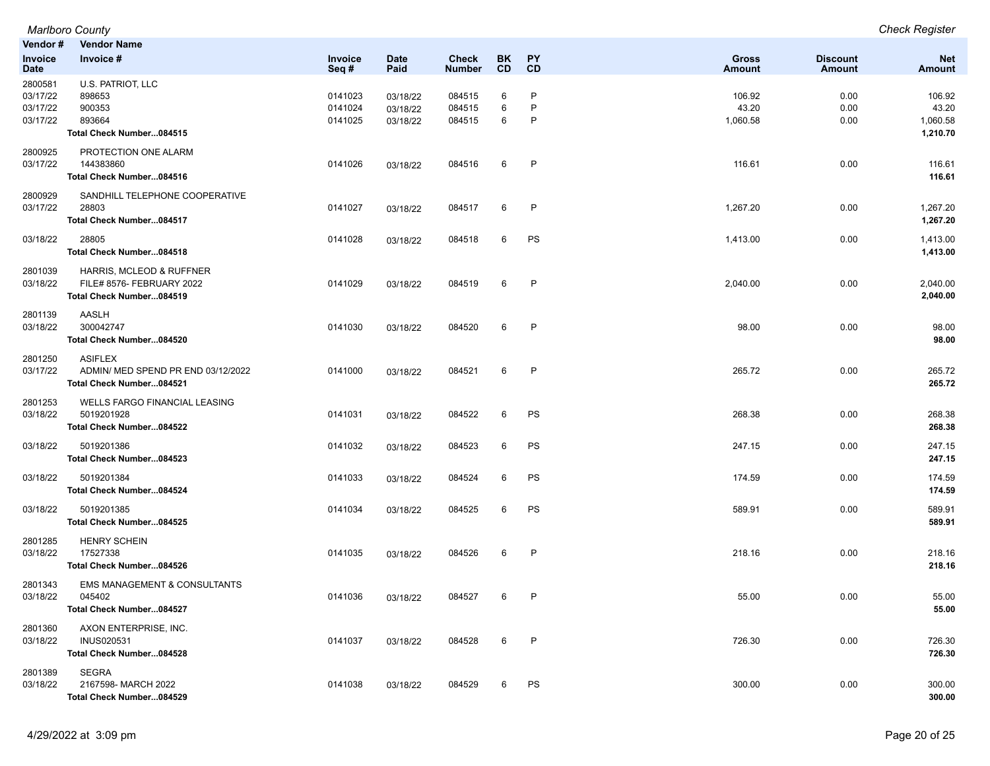| Vendor#                                     | <b>Vendor Name</b>                                                                |                               |                                  |                            |             |                                   |                               |                                  |                                         |
|---------------------------------------------|-----------------------------------------------------------------------------------|-------------------------------|----------------------------------|----------------------------|-------------|-----------------------------------|-------------------------------|----------------------------------|-----------------------------------------|
| Invoice<br><b>Date</b>                      | Invoice #                                                                         | Invoice<br>Seq#               | <b>Date</b><br>Paid              | Check<br><b>Number</b>     | BK<br>CD    | <b>PY</b><br>CD                   | <b>Gross</b><br><b>Amount</b> | <b>Discount</b><br><b>Amount</b> | <b>Net</b><br>Amount                    |
| 2800581<br>03/17/22<br>03/17/22<br>03/17/22 | U.S. PATRIOT, LLC<br>898653<br>900353<br>893664<br>Total Check Number084515       | 0141023<br>0141024<br>0141025 | 03/18/22<br>03/18/22<br>03/18/22 | 084515<br>084515<br>084515 | 6<br>6<br>6 | P<br>$\mathsf{P}$<br>$\mathsf{P}$ | 106.92<br>43.20<br>1,060.58   | 0.00<br>0.00<br>0.00             | 106.92<br>43.20<br>1,060.58<br>1,210.70 |
| 2800925<br>03/17/22                         | PROTECTION ONE ALARM<br>144383860<br>Total Check Number084516                     | 0141026                       | 03/18/22                         | 084516                     | 6           | $\mathsf{P}$                      | 116.61                        | 0.00                             | 116.61<br>116.61                        |
| 2800929<br>03/17/22                         | SANDHILL TELEPHONE COOPERATIVE<br>28803<br>Total Check Number084517               | 0141027                       | 03/18/22                         | 084517                     | 6           | P                                 | 1,267.20                      | 0.00                             | 1,267.20<br>1,267.20                    |
| 03/18/22                                    | 28805<br>Total Check Number084518                                                 | 0141028                       | 03/18/22                         | 084518                     | 6           | PS                                | 1,413.00                      | 0.00                             | 1,413.00<br>1,413.00                    |
| 2801039<br>03/18/22                         | HARRIS, MCLEOD & RUFFNER<br>FILE# 8576- FEBRUARY 2022<br>Total Check Number084519 | 0141029                       | 03/18/22                         | 084519                     | 6           | P                                 | 2,040.00                      | 0.00                             | 2,040.00<br>2,040.00                    |
| 2801139<br>03/18/22                         | AASLH<br>300042747<br>Total Check Number084520                                    | 0141030                       | 03/18/22                         | 084520                     | 6           | $\mathsf{P}$                      | 98.00                         | 0.00                             | 98.00<br>98.00                          |
| 2801250<br>03/17/22                         | <b>ASIFLEX</b><br>ADMIN/ MED SPEND PR END 03/12/2022<br>Total Check Number084521  | 0141000                       | 03/18/22                         | 084521                     | 6           | P                                 | 265.72                        | 0.00                             | 265.72<br>265.72                        |
| 2801253<br>03/18/22                         | <b>WELLS FARGO FINANCIAL LEASING</b><br>5019201928<br>Total Check Number084522    | 0141031                       | 03/18/22                         | 084522                     | 6           | PS                                | 268.38                        | 0.00                             | 268.38<br>268.38                        |
| 03/18/22                                    | 5019201386<br>Total Check Number084523                                            | 0141032                       | 03/18/22                         | 084523                     | 6           | <b>PS</b>                         | 247.15                        | 0.00                             | 247.15<br>247.15                        |
| 03/18/22                                    | 5019201384<br>Total Check Number084524                                            | 0141033                       | 03/18/22                         | 084524                     | 6           | PS                                | 174.59                        | 0.00                             | 174.59<br>174.59                        |
| 03/18/22                                    | 5019201385<br>Total Check Number084525                                            | 0141034                       | 03/18/22                         | 084525                     | 6           | PS                                | 589.91                        | 0.00                             | 589.91<br>589.91                        |
| 2801285<br>03/18/22                         | <b>HENRY SCHEIN</b><br>17527338<br>Total Check Number084526                       | 0141035                       | 03/18/22                         | 084526                     | 6           | P                                 | 218.16                        | 0.00                             | 218.16<br>218.16                        |
| 2801343<br>03/18/22                         | <b>EMS MANAGEMENT &amp; CONSULTANTS</b><br>045402<br>Total Check Number084527     | 0141036                       | 03/18/22                         | 084527                     | 6           | P                                 | 55.00                         | 0.00                             | 55.00<br>55.00                          |
| 2801360<br>03/18/22                         | AXON ENTERPRISE, INC.<br><b>INUS020531</b><br>Total Check Number084528            | 0141037                       | 03/18/22                         | 084528                     | 6           | $\mathsf{P}$                      | 726.30                        | 0.00                             | 726.30<br>726.30                        |
| 2801389<br>03/18/22                         | <b>SEGRA</b><br>2167598- MARCH 2022<br>Total Check Number084529                   | 0141038                       | 03/18/22                         | 084529                     | 6           | PS                                | 300.00                        | 0.00                             | 300.00<br>300.00                        |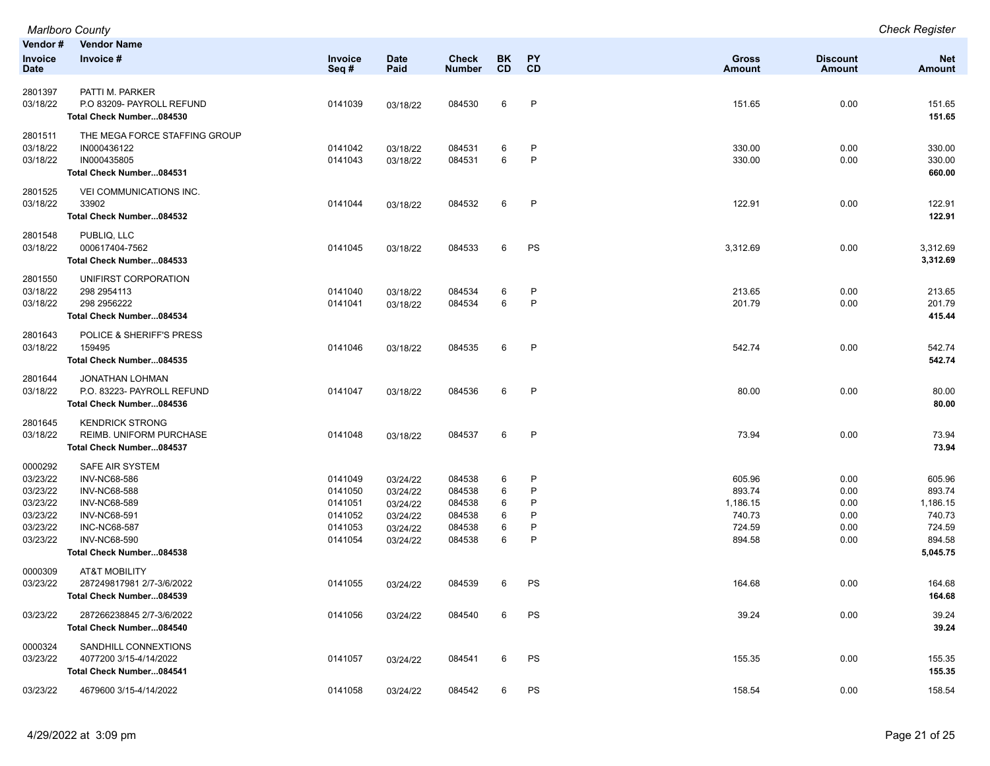|                                                                                 | <b>Marlboro County</b>                                                                                                                                                                |                                                                |                                                                      |                                                          |                            |                                       |                                                            |                                              | <b>Check Register</b>                                                  |
|---------------------------------------------------------------------------------|---------------------------------------------------------------------------------------------------------------------------------------------------------------------------------------|----------------------------------------------------------------|----------------------------------------------------------------------|----------------------------------------------------------|----------------------------|---------------------------------------|------------------------------------------------------------|----------------------------------------------|------------------------------------------------------------------------|
| Vendor#<br><b>Invoice</b><br>Date                                               | <b>Vendor Name</b><br>Invoice #                                                                                                                                                       | Invoice<br>Seq#                                                | <b>Date</b><br>Paid                                                  | <b>Check</b><br><b>Number</b>                            | BK<br><b>CD</b>            | <b>PY</b><br><b>CD</b>                | Gross<br><b>Amount</b>                                     | <b>Discount</b><br>Amount                    | <b>Net</b><br><b>Amount</b>                                            |
| 2801397<br>03/18/22                                                             | PATTI M. PARKER<br>P.O 83209- PAYROLL REFUND<br>Total Check Number084530                                                                                                              | 0141039                                                        | 03/18/22                                                             | 084530                                                   | 6                          | P                                     | 151.65                                                     | 0.00                                         | 151.65<br>151.65                                                       |
| 2801511<br>03/18/22<br>03/18/22                                                 | THE MEGA FORCE STAFFING GROUP<br>IN000436122<br>IN000435805<br>Total Check Number084531                                                                                               | 0141042<br>0141043                                             | 03/18/22<br>03/18/22                                                 | 084531<br>084531                                         | 6<br>6                     | P<br>P                                | 330.00<br>330.00                                           | 0.00<br>0.00                                 | 330.00<br>330.00<br>660.00                                             |
| 2801525<br>03/18/22                                                             | VEI COMMUNICATIONS INC.<br>33902<br>Total Check Number084532                                                                                                                          | 0141044                                                        | 03/18/22                                                             | 084532                                                   | 6                          | $\mathsf{P}$                          | 122.91                                                     | 0.00                                         | 122.91<br>122.91                                                       |
| 2801548<br>03/18/22                                                             | PUBLIQ, LLC<br>000617404-7562<br>Total Check Number084533                                                                                                                             | 0141045                                                        | 03/18/22                                                             | 084533                                                   | 6                          | PS                                    | 3,312.69                                                   | 0.00                                         | 3,312.69<br>3,312.69                                                   |
| 2801550<br>03/18/22<br>03/18/22                                                 | UNIFIRST CORPORATION<br>298 2954113<br>298 2956222<br>Total Check Number084534                                                                                                        | 0141040<br>0141041                                             | 03/18/22<br>03/18/22                                                 | 084534<br>084534                                         | 6<br>6                     | P<br>P                                | 213.65<br>201.79                                           | 0.00<br>0.00                                 | 213.65<br>201.79<br>415.44                                             |
| 2801643<br>03/18/22                                                             | POLICE & SHERIFF'S PRESS<br>159495<br>Total Check Number084535                                                                                                                        | 0141046                                                        | 03/18/22                                                             | 084535                                                   | 6                          | $\mathsf{P}$                          | 542.74                                                     | 0.00                                         | 542.74<br>542.74                                                       |
| 2801644<br>03/18/22                                                             | JONATHAN LOHMAN<br>P.O. 83223- PAYROLL REFUND<br>Total Check Number084536                                                                                                             | 0141047                                                        | 03/18/22                                                             | 084536                                                   | 6                          | $\mathsf{P}$                          | 80.00                                                      | 0.00                                         | 80.00<br>80.00                                                         |
| 2801645<br>03/18/22                                                             | <b>KENDRICK STRONG</b><br>REIMB. UNIFORM PURCHASE<br>Total Check Number084537                                                                                                         | 0141048                                                        | 03/18/22                                                             | 084537                                                   | 6                          | $\mathsf{P}$                          | 73.94                                                      | 0.00                                         | 73.94<br>73.94                                                         |
| 0000292<br>03/23/22<br>03/23/22<br>03/23/22<br>03/23/22<br>03/23/22<br>03/23/22 | SAFE AIR SYSTEM<br><b>INV-NC68-586</b><br><b>INV-NC68-588</b><br><b>INV-NC68-589</b><br><b>INV-NC68-591</b><br><b>INC-NC68-587</b><br><b>INV-NC68-590</b><br>Total Check Number084538 | 0141049<br>0141050<br>0141051<br>0141052<br>0141053<br>0141054 | 03/24/22<br>03/24/22<br>03/24/22<br>03/24/22<br>03/24/22<br>03/24/22 | 084538<br>084538<br>084538<br>084538<br>084538<br>084538 | 6<br>6<br>6<br>6<br>6<br>6 | P<br>P<br>P<br>P<br>$\mathsf{P}$<br>P | 605.96<br>893.74<br>1,186.15<br>740.73<br>724.59<br>894.58 | 0.00<br>0.00<br>0.00<br>0.00<br>0.00<br>0.00 | 605.96<br>893.74<br>1,186.15<br>740.73<br>724.59<br>894.58<br>5,045.75 |
| 0000309<br>03/23/22                                                             | <b>AT&amp;T MOBILITY</b><br>287249817981 2/7-3/6/2022<br>Total Check Number084539                                                                                                     | 0141055                                                        | 03/24/22                                                             | 084539                                                   | 6                          | PS                                    | 164.68                                                     | 0.00                                         | 164.68<br>164.68                                                       |
| 03/23/22                                                                        | 287266238845 2/7-3/6/2022<br>Total Check Number084540                                                                                                                                 | 0141056                                                        | 03/24/22                                                             | 084540                                                   | 6                          | PS                                    | 39.24                                                      | 0.00                                         | 39.24<br>39.24                                                         |
| 0000324<br>03/23/22                                                             | SANDHILL CONNEXTIONS<br>4077200 3/15-4/14/2022<br>Total Check Number084541                                                                                                            | 0141057                                                        | 03/24/22                                                             | 084541                                                   | 6                          | PS                                    | 155.35                                                     | 0.00                                         | 155.35<br>155.35                                                       |
| 03/23/22                                                                        | 4679600 3/15-4/14/2022                                                                                                                                                                | 0141058                                                        | 03/24/22                                                             | 084542                                                   | 6                          | PS                                    | 158.54                                                     | 0.00                                         | 158.54                                                                 |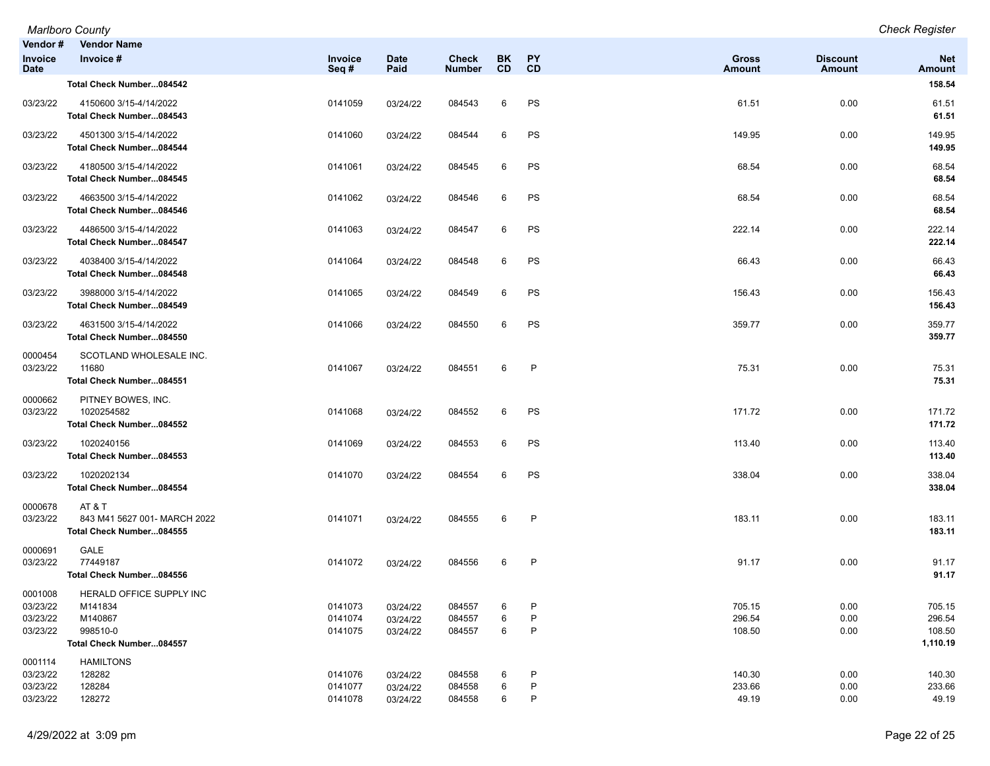| Vendor #<br><b>Invoice</b><br><b>Date</b>   | <b>Vendor Name</b><br>Invoice #                                                        | <b>Invoice</b><br>Seq#        | <b>Date</b><br>Paid              | Check<br><b>Number</b>     | BK.<br>CD   | PΥ<br>CD               | <b>Gross</b><br>Amount     | <b>Discount</b><br>Amount | <b>Net</b><br>Amount                   |
|---------------------------------------------|----------------------------------------------------------------------------------------|-------------------------------|----------------------------------|----------------------------|-------------|------------------------|----------------------------|---------------------------|----------------------------------------|
|                                             | Total Check Number084542                                                               |                               |                                  |                            |             |                        |                            |                           | 158.54                                 |
| 03/23/22                                    | 4150600 3/15-4/14/2022<br>Total Check Number084543                                     | 0141059                       | 03/24/22                         | 084543                     | 6           | PS                     | 61.51                      | 0.00                      | 61.51<br>61.51                         |
| 03/23/22                                    | 4501300 3/15-4/14/2022<br>Total Check Number084544                                     | 0141060                       | 03/24/22                         | 084544                     | 6           | PS                     | 149.95                     | 0.00                      | 149.95<br>149.95                       |
| 03/23/22                                    | 4180500 3/15-4/14/2022<br>Total Check Number084545                                     | 0141061                       | 03/24/22                         | 084545                     | 6           | PS                     | 68.54                      | 0.00                      | 68.54<br>68.54                         |
| 03/23/22                                    | 4663500 3/15-4/14/2022<br>Total Check Number084546                                     | 0141062                       | 03/24/22                         | 084546                     | 6           | PS                     | 68.54                      | 0.00                      | 68.54<br>68.54                         |
| 03/23/22                                    | 4486500 3/15-4/14/2022<br>Total Check Number084547                                     | 0141063                       | 03/24/22                         | 084547                     | 6           | PS                     | 222.14                     | 0.00                      | 222.14<br>222.14                       |
| 03/23/22                                    | 4038400 3/15-4/14/2022<br>Total Check Number084548                                     | 0141064                       | 03/24/22                         | 084548                     | 6           | PS                     | 66.43                      | 0.00                      | 66.43<br>66.43                         |
| 03/23/22                                    | 3988000 3/15-4/14/2022<br>Total Check Number084549                                     | 0141065                       | 03/24/22                         | 084549                     | 6           | PS                     | 156.43                     | 0.00                      | 156.43<br>156.43                       |
| 03/23/22                                    | 4631500 3/15-4/14/2022<br>Total Check Number084550                                     | 0141066                       | 03/24/22                         | 084550                     | 6           | PS                     | 359.77                     | 0.00                      | 359.77<br>359.77                       |
| 0000454<br>03/23/22                         | SCOTLAND WHOLESALE INC.<br>11680<br>Total Check Number084551                           | 0141067                       | 03/24/22                         | 084551                     | 6           | P                      | 75.31                      | 0.00                      | 75.31<br>75.31                         |
| 0000662<br>03/23/22                         | PITNEY BOWES, INC.<br>1020254582<br>Total Check Number084552                           | 0141068                       | 03/24/22                         | 084552                     | 6           | PS                     | 171.72                     | 0.00                      | 171.72<br>171.72                       |
| 03/23/22                                    | 1020240156<br>Total Check Number084553                                                 | 0141069                       | 03/24/22                         | 084553                     | 6           | PS                     | 113.40                     | 0.00                      | 113.40<br>113.40                       |
| 03/23/22                                    | 1020202134<br>Total Check Number084554                                                 | 0141070                       | 03/24/22                         | 084554                     | 6           | PS                     | 338.04                     | 0.00                      | 338.04<br>338.04                       |
| 0000678<br>03/23/22                         | AT&T<br>843 M41 5627 001- MARCH 2022<br>Total Check Number084555                       | 0141071                       | 03/24/22                         | 084555                     | 6           | P                      | 183.11                     | 0.00                      | 183.11<br>183.11                       |
| 0000691<br>03/23/22                         | GALE<br>77449187<br>Total Check Number084556                                           | 0141072                       | 03/24/22                         | 084556                     | 6           | P                      | 91.17                      | 0.00                      | 91.17<br>91.17                         |
| 0001008<br>03/23/22<br>03/23/22<br>03/23/22 | HERALD OFFICE SUPPLY INC<br>M141834<br>M140867<br>998510-0<br>Total Check Number084557 | 0141073<br>0141074<br>0141075 | 03/24/22<br>03/24/22<br>03/24/22 | 084557<br>084557<br>084557 | 6<br>6<br>6 | P<br>P<br>$\mathsf{P}$ | 705.15<br>296.54<br>108.50 | 0.00<br>0.00<br>0.00      | 705.15<br>296.54<br>108.50<br>1,110.19 |
| 0001114<br>03/23/22<br>03/23/22<br>03/23/22 | <b>HAMILTONS</b><br>128282<br>128284<br>128272                                         | 0141076<br>0141077<br>0141078 | 03/24/22<br>03/24/22<br>03/24/22 | 084558<br>084558<br>084558 | 6<br>6<br>6 | P<br>P<br>P            | 140.30<br>233.66<br>49.19  | 0.00<br>0.00<br>0.00      | 140.30<br>233.66<br>49.19              |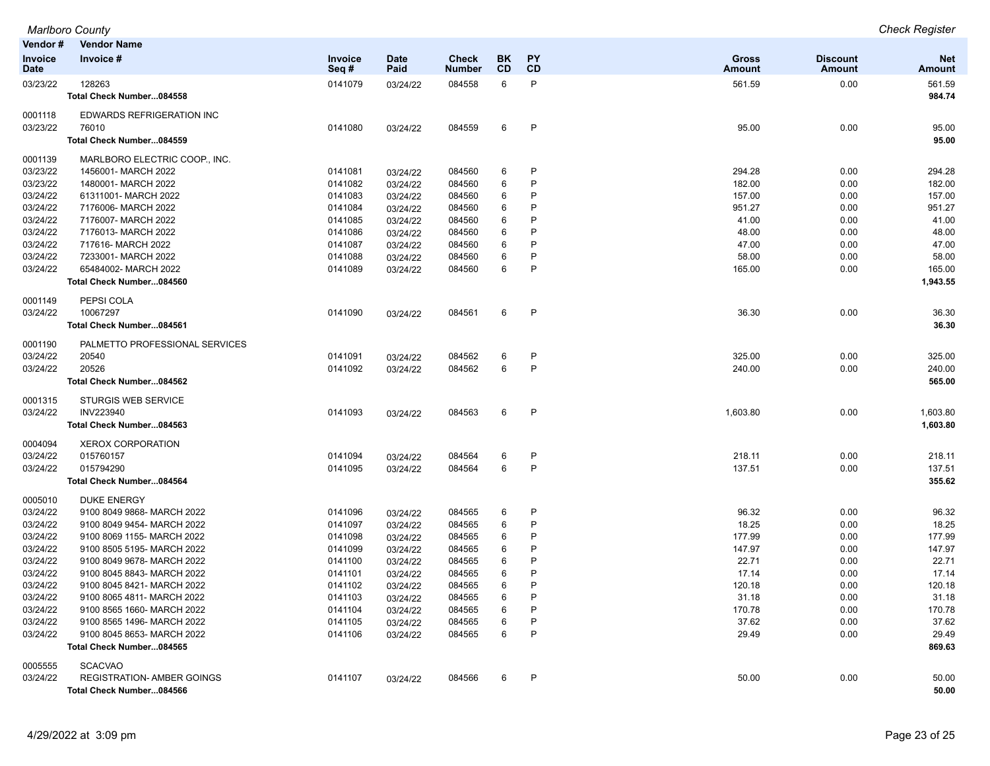| Vendor#                       | <b>Vendor Name</b>                |                        |                     |                        |                 |                        |                               |                           |                             |
|-------------------------------|-----------------------------------|------------------------|---------------------|------------------------|-----------------|------------------------|-------------------------------|---------------------------|-----------------------------|
| <b>Invoice</b><br><b>Date</b> | Invoice #                         | <b>Invoice</b><br>Seq# | <b>Date</b><br>Paid | Check<br><b>Number</b> | <b>BK</b><br>CD | <b>PY</b><br><b>CD</b> | <b>Gross</b><br><b>Amount</b> | <b>Discount</b><br>Amount | <b>Net</b><br><b>Amount</b> |
| 03/23/22                      | 128263                            | 0141079                | 03/24/22            | 084558                 | 6               | P                      | 561.59                        | 0.00                      | 561.59                      |
|                               | Total Check Number084558          |                        |                     |                        |                 |                        |                               |                           | 984.74                      |
| 0001118                       | <b>EDWARDS REFRIGERATION INC</b>  |                        |                     |                        |                 |                        |                               |                           |                             |
| 03/23/22                      | 76010                             | 0141080                | 03/24/22            | 084559                 | 6               | P                      | 95.00                         | 0.00                      | 95.00                       |
|                               | Total Check Number084559          |                        |                     |                        |                 |                        |                               |                           | 95.00                       |
| 0001139                       | MARLBORO ELECTRIC COOP., INC.     |                        |                     |                        |                 |                        |                               |                           |                             |
| 03/23/22                      | 1456001- MARCH 2022               | 0141081                | 03/24/22            | 084560                 | 6               | P                      | 294.28                        | 0.00                      | 294.28                      |
| 03/23/22                      | 1480001- MARCH 2022               | 0141082                | 03/24/22            | 084560                 | 6               | P                      | 182.00                        | 0.00                      | 182.00                      |
| 03/24/22                      | 61311001- MARCH 2022              | 0141083                | 03/24/22            | 084560                 | 6               | P                      | 157.00                        | 0.00                      | 157.00                      |
| 03/24/22                      | 7176006- MARCH 2022               | 0141084                | 03/24/22            | 084560                 | 6               | P                      | 951.27                        | 0.00                      | 951.27                      |
| 03/24/22                      | 7176007- MARCH 2022               | 0141085                | 03/24/22            | 084560                 | 6               | P                      | 41.00                         | 0.00                      | 41.00                       |
| 03/24/22                      | 7176013- MARCH 2022               | 0141086                | 03/24/22            | 084560                 | 6               | P                      | 48.00                         | 0.00                      | 48.00                       |
| 03/24/22                      | 717616- MARCH 2022                | 0141087                | 03/24/22            | 084560                 | 6               | P                      | 47.00                         | 0.00                      | 47.00                       |
| 03/24/22                      | 7233001- MARCH 2022               | 0141088                | 03/24/22            | 084560                 | 6               | P                      | 58.00                         | 0.00                      | 58.00                       |
| 03/24/22                      | 65484002- MARCH 2022              | 0141089                | 03/24/22            | 084560                 | 6               | P                      | 165.00                        | 0.00                      | 165.00                      |
|                               | Total Check Number084560          |                        |                     |                        |                 |                        |                               |                           | 1,943.55                    |
| 0001149                       | PEPSI COLA                        |                        |                     |                        |                 |                        |                               |                           |                             |
| 03/24/22                      | 10067297                          | 0141090                | 03/24/22            | 084561                 | 6               | P                      | 36.30                         | 0.00                      | 36.30                       |
|                               | Total Check Number084561          |                        |                     |                        |                 |                        |                               |                           | 36.30                       |
| 0001190                       | PALMETTO PROFESSIONAL SERVICES    |                        |                     |                        |                 |                        |                               |                           |                             |
| 03/24/22                      | 20540                             | 0141091                | 03/24/22            | 084562                 | 6               | $\mathsf{P}$           | 325.00                        | 0.00                      | 325.00                      |
| 03/24/22                      | 20526                             | 0141092                | 03/24/22            | 084562                 | 6               | P                      | 240.00                        | 0.00                      | 240.00                      |
|                               | Total Check Number084562          |                        |                     |                        |                 |                        |                               |                           | 565.00                      |
| 0001315                       | <b>STURGIS WEB SERVICE</b>        |                        |                     |                        |                 |                        |                               |                           |                             |
| 03/24/22                      | INV223940                         | 0141093                | 03/24/22            | 084563                 | 6               | P                      | 1,603.80                      | 0.00                      | 1,603.80                    |
|                               | Total Check Number084563          |                        |                     |                        |                 |                        |                               |                           | 1,603.80                    |
| 0004094                       | <b>XEROX CORPORATION</b>          |                        |                     |                        |                 |                        |                               |                           |                             |
| 03/24/22                      | 015760157                         | 0141094                | 03/24/22            | 084564                 | 6               | $\mathsf{P}$           | 218.11                        | 0.00                      | 218.11                      |
| 03/24/22                      | 015794290                         | 0141095                | 03/24/22            | 084564                 | 6               | P                      | 137.51                        | 0.00                      | 137.51                      |
|                               | Total Check Number084564          |                        |                     |                        |                 |                        |                               |                           | 355.62                      |
| 0005010                       | <b>DUKE ENERGY</b>                |                        |                     |                        |                 |                        |                               |                           |                             |
| 03/24/22                      | 9100 8049 9868- MARCH 2022        | 0141096                | 03/24/22            | 084565                 | 6               | P                      | 96.32                         | 0.00                      | 96.32                       |
| 03/24/22                      | 9100 8049 9454- MARCH 2022        | 0141097                | 03/24/22            | 084565                 | 6               | P                      | 18.25                         | 0.00                      | 18.25                       |
| 03/24/22                      | 9100 8069 1155- MARCH 2022        | 0141098                | 03/24/22            | 084565                 | 6               | P                      | 177.99                        | 0.00                      | 177.99                      |
| 03/24/22                      | 9100 8505 5195- MARCH 2022        | 0141099                | 03/24/22            | 084565                 | 6               | P                      | 147.97                        | 0.00                      | 147.97                      |
| 03/24/22                      | 9100 8049 9678- MARCH 2022        | 0141100                | 03/24/22            | 084565                 | 6               | P                      | 22.71                         | 0.00                      | 22.71                       |
| 03/24/22                      | 9100 8045 8843- MARCH 2022        | 0141101                | 03/24/22            | 084565                 | 6               | P                      | 17.14                         | 0.00                      | 17.14                       |
| 03/24/22                      | 9100 8045 8421- MARCH 2022        | 0141102                | 03/24/22            | 084565                 | 6               | P                      | 120.18                        | 0.00                      | 120.18                      |
| 03/24/22                      | 9100 8065 4811- MARCH 2022        | 0141103                | 03/24/22            | 084565                 | 6               | P                      | 31.18                         | 0.00                      | 31.18                       |
| 03/24/22                      | 9100 8565 1660- MARCH 2022        | 0141104                | 03/24/22            | 084565                 | 6               | P                      | 170.78                        | 0.00                      | 170.78                      |
| 03/24/22                      | 9100 8565 1496- MARCH 2022        | 0141105                | 03/24/22            | 084565                 | 6               | P                      | 37.62                         | 0.00                      | 37.62                       |
| 03/24/22                      | 9100 8045 8653- MARCH 2022        | 0141106                | 03/24/22            | 084565                 | 6               | P                      | 29.49                         | 0.00                      | 29.49                       |
|                               | Total Check Number084565          |                        |                     |                        |                 |                        |                               |                           | 869.63                      |
| 0005555                       | <b>SCACVAO</b>                    |                        |                     |                        |                 |                        |                               |                           |                             |
| 03/24/22                      | <b>REGISTRATION- AMBER GOINGS</b> | 0141107                | 03/24/22            | 084566                 | 6               | P                      | 50.00                         | 0.00                      | 50.00                       |
|                               | Total Check Number084566          |                        |                     |                        |                 |                        |                               |                           | 50.00                       |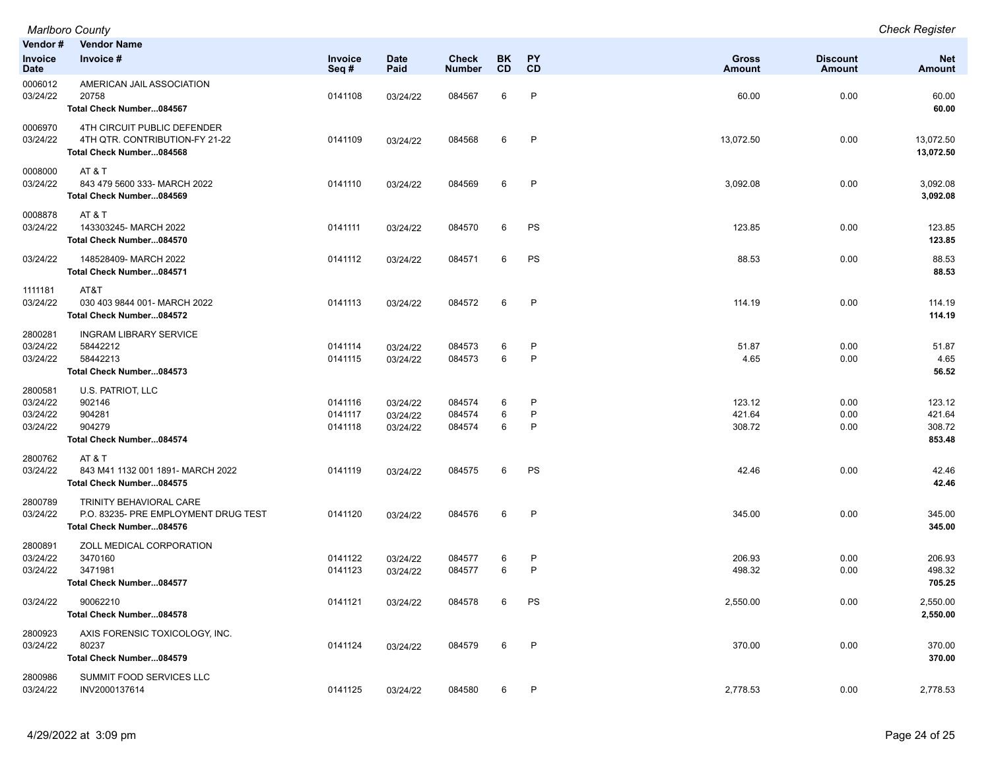| Vendor#                                     | <b>Vendor Name</b>                                                                          |                               |                                  |                               |             |              |                               |                           |                                      |
|---------------------------------------------|---------------------------------------------------------------------------------------------|-------------------------------|----------------------------------|-------------------------------|-------------|--------------|-------------------------------|---------------------------|--------------------------------------|
| Invoice<br><b>Date</b>                      | Invoice #                                                                                   | Invoice<br>Seq#               | <b>Date</b><br>Paid              | <b>Check</b><br><b>Number</b> | BK<br>CD    | PΥ<br>CD     | <b>Gross</b><br><b>Amount</b> | <b>Discount</b><br>Amount | <b>Net</b><br>Amount                 |
| 0006012<br>03/24/22                         | AMERICAN JAIL ASSOCIATION<br>20758<br>Total Check Number084567                              | 0141108                       | 03/24/22                         | 084567                        | 6           | P            | 60.00                         | 0.00                      | 60.00<br>60.00                       |
| 0006970<br>03/24/22                         | 4TH CIRCUIT PUBLIC DEFENDER<br>4TH QTR. CONTRIBUTION-FY 21-22<br>Total Check Number084568   | 0141109                       | 03/24/22                         | 084568                        | 6           | P            | 13,072.50                     | 0.00                      | 13,072.50<br>13,072.50               |
| 0008000<br>03/24/22                         | AT&T<br>843 479 5600 333- MARCH 2022<br>Total Check Number084569                            | 0141110                       | 03/24/22                         | 084569                        | 6           | P            | 3,092.08                      | 0.00                      | 3,092.08<br>3,092.08                 |
| 0008878<br>03/24/22                         | AT & T<br>143303245-MARCH 2022<br>Total Check Number084570                                  | 0141111                       | 03/24/22                         | 084570                        | 6           | PS           | 123.85                        | 0.00                      | 123.85<br>123.85                     |
| 03/24/22                                    | 148528409- MARCH 2022<br>Total Check Number084571                                           | 0141112                       | 03/24/22                         | 084571                        | 6           | PS           | 88.53                         | 0.00                      | 88.53<br>88.53                       |
| 1111181<br>03/24/22                         | AT&T<br>030 403 9844 001- MARCH 2022<br>Total Check Number084572                            | 0141113                       | 03/24/22                         | 084572                        | 6           | P            | 114.19                        | 0.00                      | 114.19<br>114.19                     |
| 2800281<br>03/24/22<br>03/24/22             | INGRAM LIBRARY SERVICE<br>58442212<br>58442213<br>Total Check Number084573                  | 0141114<br>0141115            | 03/24/22<br>03/24/22             | 084573<br>084573              | 6<br>6      | P<br>P       | 51.87<br>4.65                 | 0.00<br>0.00              | 51.87<br>4.65<br>56.52               |
| 2800581<br>03/24/22<br>03/24/22<br>03/24/22 | U.S. PATRIOT, LLC<br>902146<br>904281<br>904279<br>Total Check Number084574                 | 0141116<br>0141117<br>0141118 | 03/24/22<br>03/24/22<br>03/24/22 | 084574<br>084574<br>084574    | 6<br>6<br>6 | P<br>P<br>P  | 123.12<br>421.64<br>308.72    | 0.00<br>0.00<br>0.00      | 123.12<br>421.64<br>308.72<br>853.48 |
| 2800762<br>03/24/22                         | AT&T<br>843 M41 1132 001 1891- MARCH 2022<br>Total Check Number084575                       | 0141119                       | 03/24/22                         | 084575                        | 6           | PS           | 42.46                         | 0.00                      | 42.46<br>42.46                       |
| 2800789<br>03/24/22                         | TRINITY BEHAVIORAL CARE<br>P.O. 83235- PRE EMPLOYMENT DRUG TEST<br>Total Check Number084576 | 0141120                       | 03/24/22                         | 084576                        | 6           | $\mathsf{P}$ | 345.00                        | 0.00                      | 345.00<br>345.00                     |
| 2800891<br>03/24/22<br>03/24/22             | ZOLL MEDICAL CORPORATION<br>3470160<br>3471981<br>Total Check Number084577                  | 0141122<br>0141123            | 03/24/22<br>03/24/22             | 084577<br>084577              | 6<br>6      | P<br>P       | 206.93<br>498.32              | 0.00<br>0.00              | 206.93<br>498.32<br>705.25           |
| 03/24/22                                    | 90062210<br>Total Check Number084578                                                        | 0141121                       | 03/24/22                         | 084578                        | 6 PS        |              | 2,550.00                      | 0.00                      | 2,550.00<br>2,550.00                 |
| 2800923<br>03/24/22                         | AXIS FORENSIC TOXICOLOGY, INC.<br>80237<br>Total Check Number084579                         | 0141124                       | 03/24/22                         | 084579                        | 6           | $\mathsf{P}$ | 370.00                        | 0.00                      | 370.00<br>370.00                     |
| 2800986<br>03/24/22                         | SUMMIT FOOD SERVICES LLC<br>INV2000137614                                                   | 0141125                       | 03/24/22                         | 084580                        | 6           | P            | 2,778.53                      | 0.00                      | 2,778.53                             |